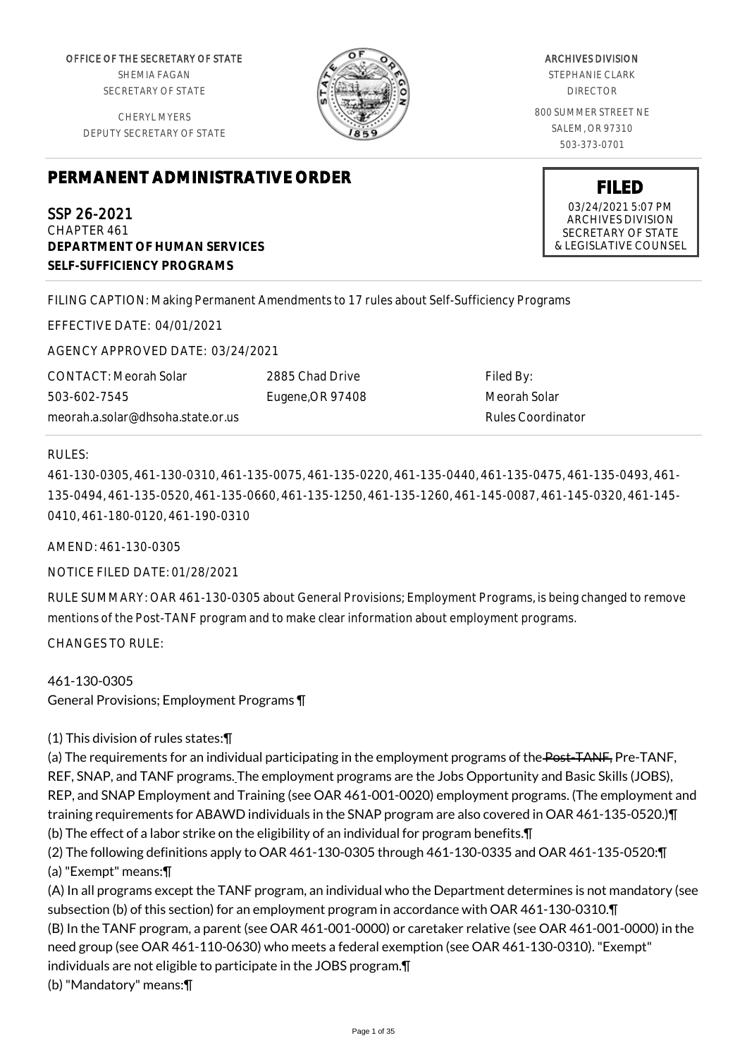OFFICE OF THE SECRETARY OF STATE SHEMIA FAGAN SECRETARY OF STATE

CHERYL MYERS DEPUTY SECRETARY OF STATE



ARCHIVES DIVISION STEPHANIE CLARK DIRECTOR 800 SUMMER STREET NE SALEM, OR 97310 503-373-0701

> **FILED** 03/24/2021 5:07 PM ARCHIVES DIVISION SECRETARY OF STATE & LEGISLATIVE COUNSEL

# **PERMANENT ADMINISTRATIVE ORDER**

SSP 26-2021 CHAPTER 461 **DEPARTMENT OF HUMAN SERVICES SELF-SUFFICIENCY PROGRAMS**

FILING CAPTION: Making Permanent Amendments to 17 rules about Self-Sufficiency Programs

EFFECTIVE DATE: 04/01/2021

AGENCY APPROVED DATE: 03/24/2021

CONTACT: Meorah Solar 503-602-7545 meorah.a.solar@dhsoha.state.or.us 2885 Chad Drive Eugene,OR 97408

Filed By: Meorah Solar Rules Coordinator

#### RULES:

461-130-0305, 461-130-0310, 461-135-0075, 461-135-0220, 461-135-0440, 461-135-0475, 461-135-0493, 461- 135-0494, 461-135-0520, 461-135-0660, 461-135-1250, 461-135-1260, 461-145-0087, 461-145-0320, 461-145- 0410, 461-180-0120, 461-190-0310

AMEND: 461-130-0305

NOTICE FILED DATE: 01/28/2021

RULE SUMMARY: OAR 461-130-0305 about General Provisions; Employment Programs, is being changed to remove mentions of the Post-TANF program and to make clear information about employment programs.

CHANGES TO RULE:

# 461-130-0305

General Provisions; Employment Programs ¶

(1) This division of rules states:¶

(a) The requirements for an individual participating in the employment programs of the Post-TANF, Pre-TANF, REF, SNAP, and TANF programs. The employment programs are the Jobs Opportunity and Basic Skills (JOBS), REP, and SNAP Employment and Training (see OAR 461-001-0020) employment programs. (The employment and training requirements for ABAWD individuals in the SNAP program are also covered in OAR 461-135-0520.)¶ (b) The effect of a labor strike on the eligibility of an individual for program benefits.¶

- (2) The following definitions apply to OAR 461-130-0305 through 461-130-0335 and OAR 461-135-0520:¶ (a) "Exempt" means:¶
- (A) In all programs except the TANF program, an individual who the Department determines is not mandatory (see subsection (b) of this section) for an employment program in accordance with OAR 461-130-0310.¶ (B) In the TANF program, a parent (see OAR 461-001-0000) or caretaker relative (see OAR 461-001-0000) in the need group (see OAR 461-110-0630) who meets a federal exemption (see OAR 461-130-0310). "Exempt" individuals are not eligible to participate in the JOBS program.¶ (b) "Mandatory" means:¶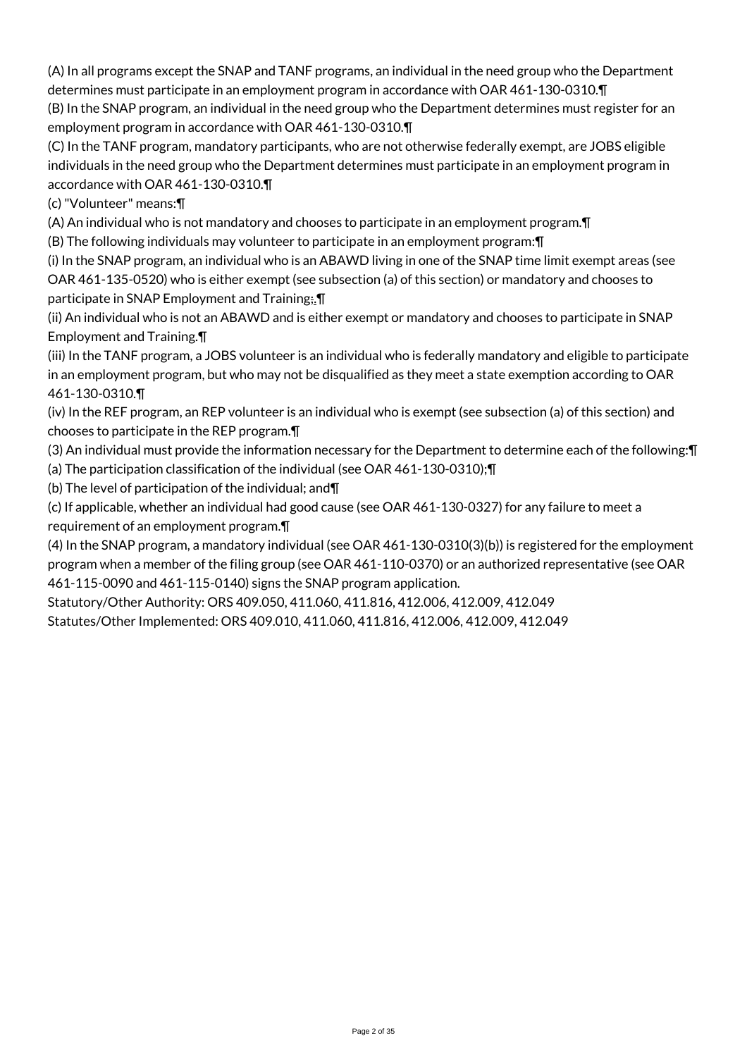(A) In all programs except the SNAP and TANF programs, an individual in the need group who the Department determines must participate in an employment program in accordance with OAR 461-130-0310.¶

(B) In the SNAP program, an individual in the need group who the Department determines must register for an employment program in accordance with OAR 461-130-0310.¶

(C) In the TANF program, mandatory participants, who are not otherwise federally exempt, are JOBS eligible individuals in the need group who the Department determines must participate in an employment program in accordance with OAR 461-130-0310.¶

(c) "Volunteer" means:¶

(A) An individual who is not mandatory and chooses to participate in an employment program.¶

(B) The following individuals may volunteer to participate in an employment program:¶

(i) In the SNAP program, an individual who is an ABAWD living in one of the SNAP time limit exempt areas (see OAR 461-135-0520) who is either exempt (see subsection (a) of this section) or mandatory and chooses to participate in SNAP Employment and Training; \[

(ii) An individual who is not an ABAWD and is either exempt or mandatory and chooses to participate in SNAP Employment and Training.¶

(iii) In the TANF program, a JOBS volunteer is an individual who is federally mandatory and eligible to participate in an employment program, but who may not be disqualified as they meet a state exemption according to OAR 461-130-0310.¶

(iv) In the REF program, an REP volunteer is an individual who is exempt (see subsection (a) of this section) and chooses to participate in the REP program.¶

(3) An individual must provide the information necessary for the Department to determine each of the following:¶ (a) The participation classification of the individual (see OAR 461-130-0310);¶

(b) The level of participation of the individual; and¶

(c) If applicable, whether an individual had good cause (see OAR 461-130-0327) for any failure to meet a

requirement of an employment program.¶

(4) In the SNAP program, a mandatory individual (see OAR 461-130-0310(3)(b)) is registered for the employment program when a member of the filing group (see OAR 461-110-0370) or an authorized representative (see OAR 461-115-0090 and 461-115-0140) signs the SNAP program application.

Statutory/Other Authority: ORS 409.050, 411.060, 411.816, 412.006, 412.009, 412.049 Statutes/Other Implemented: ORS 409.010, 411.060, 411.816, 412.006, 412.009, 412.049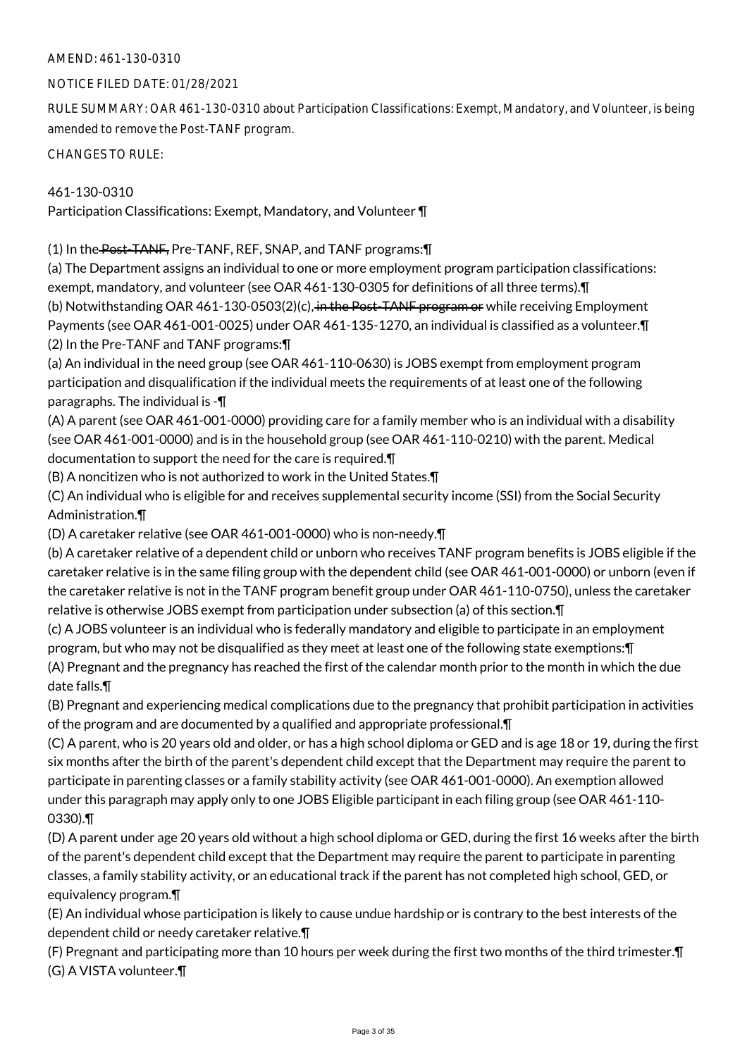NOTICE FILED DATE: 01/28/2021

RULE SUMMARY: OAR 461-130-0310 about Participation Classifications: Exempt, Mandatory, and Volunteer, is being amended to remove the Post-TANF program.

CHANGES TO RULE:

### 461-130-0310

Participation Classifications: Exempt, Mandatory, and Volunteer ¶

(1) In the Post-TANF, Pre-TANF, REF, SNAP, and TANF programs:¶

(a) The Department assigns an individual to one or more employment program participation classifications: exempt, mandatory, and volunteer (see OAR 461-130-0305 for definitions of all three terms).¶ (b) Notwithstanding OAR 461-130-0503(2)(c), in the Post-TANF program or while receiving Employment Payments (see OAR 461-001-0025) under OAR 461-135-1270, an individual is classified as a volunteer.¶ (2) In the Pre-TANF and TANF programs:¶

(a) An individual in the need group (see OAR 461-110-0630) is JOBS exempt from employment program participation and disqualification if the individual meets the requirements of at least one of the following paragraphs. The individual is -¶

(A) A parent (see OAR 461-001-0000) providing care for a family member who is an individual with a disability (see OAR 461-001-0000) and is in the household group (see OAR 461-110-0210) with the parent. Medical documentation to support the need for the care is required.¶

(B) A noncitizen who is not authorized to work in the United States.¶

(C) An individual who is eligible for and receives supplemental security income (SSI) from the Social Security Administration.¶

(D) A caretaker relative (see OAR 461-001-0000) who is non-needy.¶

(b) A caretaker relative of a dependent child or unborn who receives TANF program benefits is JOBS eligible if the caretaker relative is in the same filing group with the dependent child (see OAR 461-001-0000) or unborn (even if the caretaker relative is not in the TANF program benefit group under OAR 461-110-0750), unless the caretaker relative is otherwise JOBS exempt from participation under subsection (a) of this section.¶

(c) A JOBS volunteer is an individual who is federally mandatory and eligible to participate in an employment program, but who may not be disqualified as they meet at least one of the following state exemptions:¶ (A) Pregnant and the pregnancy has reached the first of the calendar month prior to the month in which the due date falls.¶

(B) Pregnant and experiencing medical complications due to the pregnancy that prohibit participation in activities of the program and are documented by a qualified and appropriate professional.¶

(C) A parent, who is 20 years old and older, or has a high school diploma or GED and is age 18 or 19, during the first six months after the birth of the parent's dependent child except that the Department may require the parent to participate in parenting classes or a family stability activity (see OAR 461-001-0000). An exemption allowed under this paragraph may apply only to one JOBS Eligible participant in each filing group (see OAR 461-110- 0330).¶

(D) A parent under age 20 years old without a high school diploma or GED, during the first 16 weeks after the birth of the parent's dependent child except that the Department may require the parent to participate in parenting classes, a family stability activity, or an educational track if the parent has not completed high school, GED, or equivalency program.¶

(E) An individual whose participation is likely to cause undue hardship or is contrary to the best interests of the dependent child or needy caretaker relative.¶

(F) Pregnant and participating more than 10 hours per week during the first two months of the third trimester.¶ (G) A VISTA volunteer.¶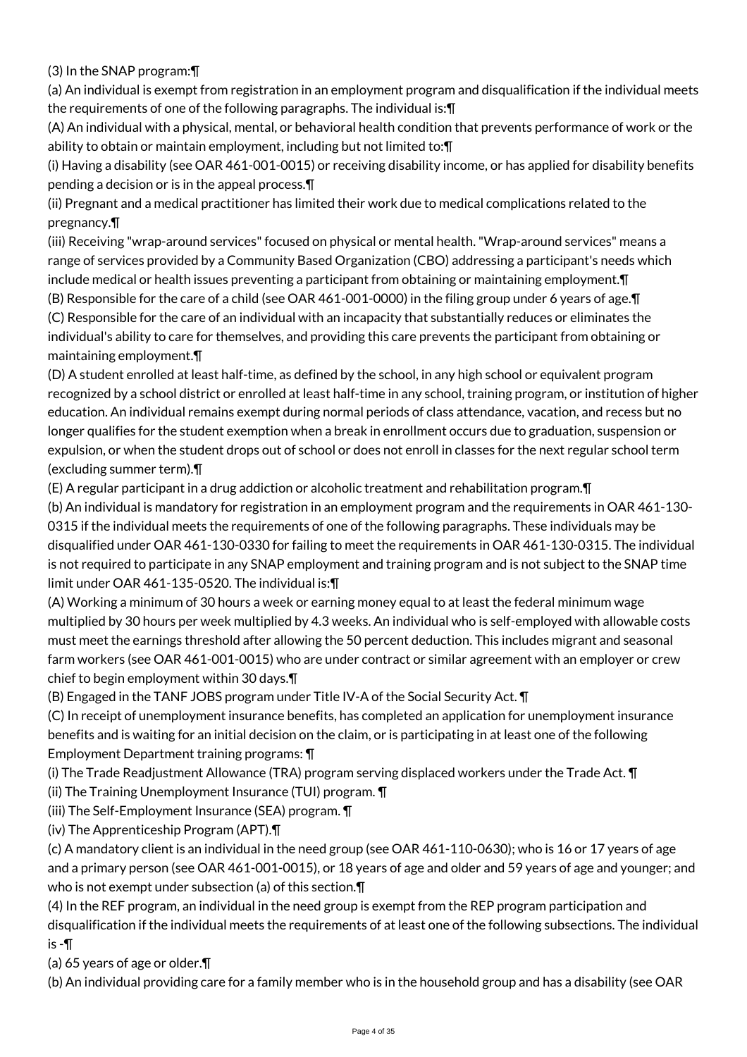(3) In the SNAP program:¶

(a) An individual is exempt from registration in an employment program and disqualification if the individual meets the requirements of one of the following paragraphs. The individual is:¶

(A) An individual with a physical, mental, or behavioral health condition that prevents performance of work or the ability to obtain or maintain employment, including but not limited to:¶

(i) Having a disability (see OAR 461-001-0015) or receiving disability income, or has applied for disability benefits pending a decision or is in the appeal process.¶

(ii) Pregnant and a medical practitioner has limited their work due to medical complications related to the pregnancy.¶

(iii) Receiving "wrap-around services" focused on physical or mental health. "Wrap-around services" means a range of services provided by a Community Based Organization (CBO) addressing a participant's needs which include medical or health issues preventing a participant from obtaining or maintaining employment.¶ (B) Responsible for the care of a child (see OAR 461-001-0000) in the filing group under 6 years of age.¶

(C) Responsible for the care of an individual with an incapacity that substantially reduces or eliminates the individual's ability to care for themselves, and providing this care prevents the participant from obtaining or maintaining employment.¶

(D) A student enrolled at least half-time, as defined by the school, in any high school or equivalent program recognized by a school district or enrolled at least half-time in any school, training program, or institution of higher education. An individual remains exempt during normal periods of class attendance, vacation, and recess but no longer qualifies for the student exemption when a break in enrollment occurs due to graduation, suspension or expulsion, or when the student drops out of school or does not enroll in classes for the next regular school term (excluding summer term).¶

(E) A regular participant in a drug addiction or alcoholic treatment and rehabilitation program.¶

(b) An individual is mandatory for registration in an employment program and the requirements in OAR 461-130- 0315 if the individual meets the requirements of one of the following paragraphs. These individuals may be disqualified under OAR 461-130-0330 for failing to meet the requirements in OAR 461-130-0315. The individual is not required to participate in any SNAP employment and training program and is not subject to the SNAP time limit under OAR 461-135-0520. The individual is:¶

(A) Working a minimum of 30 hours a week or earning money equal to at least the federal minimum wage multiplied by 30 hours per week multiplied by 4.3 weeks. An individual who is self-employed with allowable costs must meet the earnings threshold after allowing the 50 percent deduction. This includes migrant and seasonal farm workers (see OAR 461-001-0015) who are under contract or similar agreement with an employer or crew chief to begin employment within 30 days.¶

(B) Engaged in the TANF JOBS program under Title IV-A of the Social Security Act. ¶

(C) In receipt of unemployment insurance benefits, has completed an application for unemployment insurance benefits and is waiting for an initial decision on the claim, or is participating in at least one of the following Employment Department training programs: ¶

(i) The Trade Readjustment Allowance (TRA) program serving displaced workers under the Trade Act. ¶

(ii) The Training Unemployment Insurance (TUI) program. ¶

(iii) The Self-Employment Insurance (SEA) program. ¶

(iv) The Apprenticeship Program (APT).¶

(c) A mandatory client is an individual in the need group (see OAR 461-110-0630); who is 16 or 17 years of age and a primary person (see OAR 461-001-0015), or 18 years of age and older and 59 years of age and younger; and who is not exempt under subsection (a) of this section.¶

(4) In the REF program, an individual in the need group is exempt from the REP program participation and disqualification if the individual meets the requirements of at least one of the following subsections. The individual is -¶

(a) 65 years of age or older.¶

(b) An individual providing care for a family member who is in the household group and has a disability (see OAR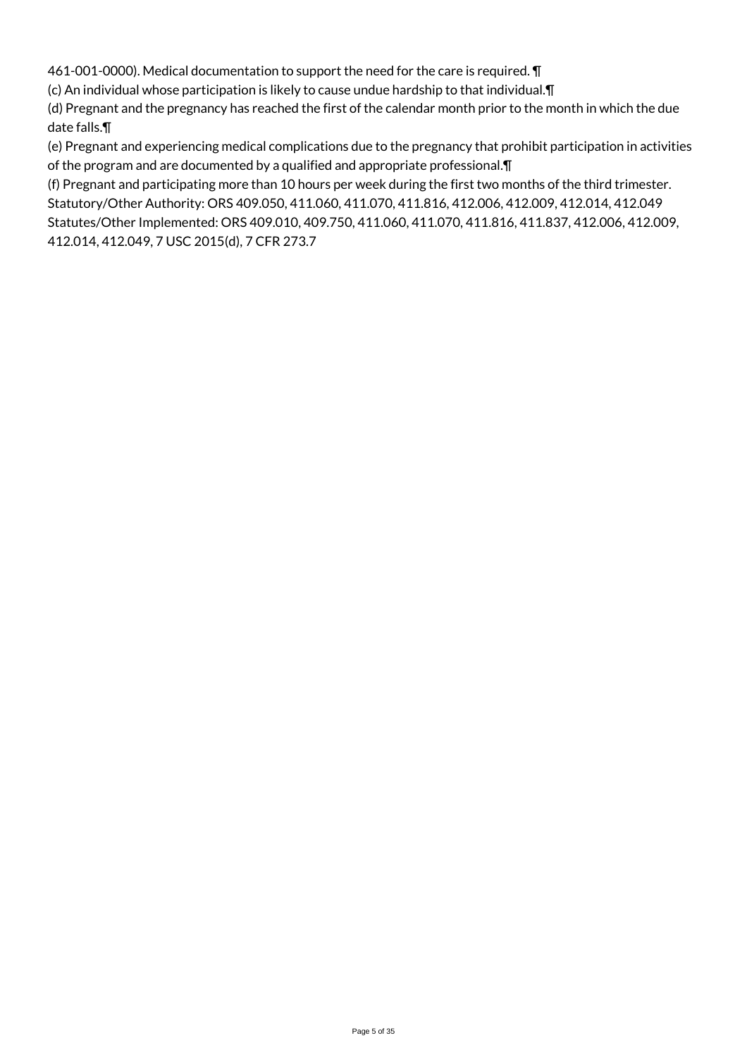461-001-0000). Medical documentation to support the need for the care is required. ¶

(c) An individual whose participation is likely to cause undue hardship to that individual.¶

(d) Pregnant and the pregnancy has reached the first of the calendar month prior to the month in which the due date falls.¶

(e) Pregnant and experiencing medical complications due to the pregnancy that prohibit participation in activities of the program and are documented by a qualified and appropriate professional.¶

(f) Pregnant and participating more than 10 hours per week during the first two months of the third trimester. Statutory/Other Authority: ORS 409.050, 411.060, 411.070, 411.816, 412.006, 412.009, 412.014, 412.049 Statutes/Other Implemented: ORS 409.010, 409.750, 411.060, 411.070, 411.816, 411.837, 412.006, 412.009, 412.014, 412.049, 7 USC 2015(d), 7 CFR 273.7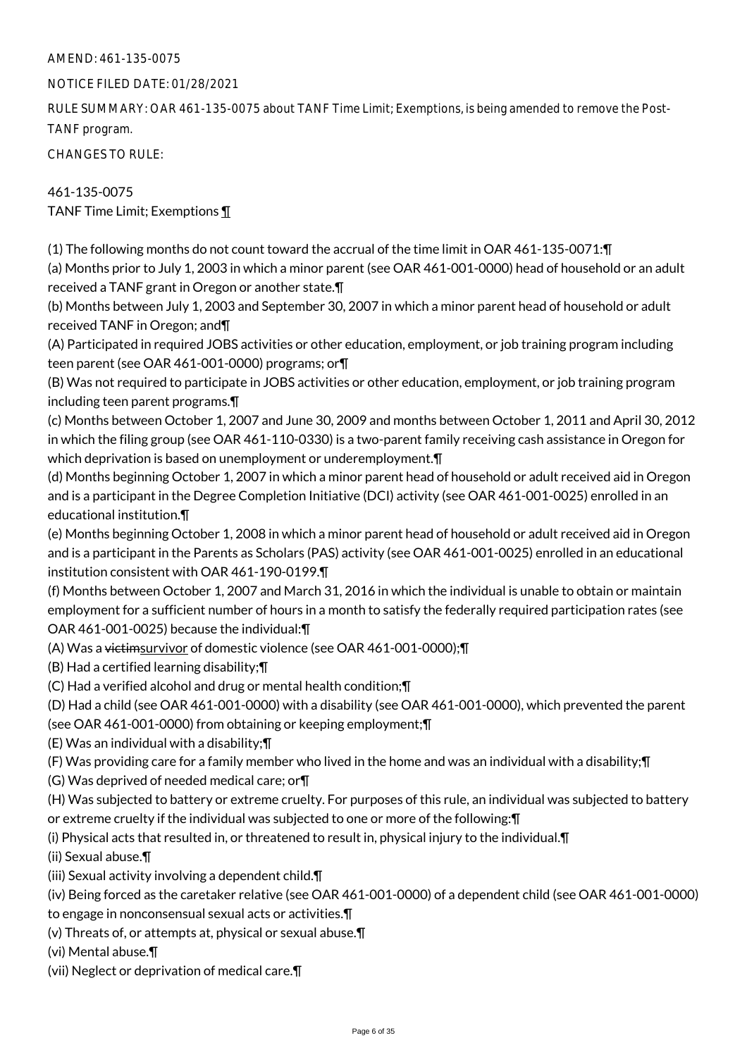## NOTICE FILED DATE: 01/28/2021

RULE SUMMARY: OAR 461-135-0075 about TANF Time Limit; Exemptions, is being amended to remove the Post-TANF program.

CHANGES TO RULE:

461-135-0075 TANF Time Limit; Exemptions ¶

(1) The following months do not count toward the accrual of the time limit in OAR 461-135-0071:¶ (a) Months prior to July 1, 2003 in which a minor parent (see OAR 461-001-0000) head of household or an adult received a TANF grant in Oregon or another state.¶

(b) Months between July 1, 2003 and September 30, 2007 in which a minor parent head of household or adult received TANF in Oregon; and¶

(A) Participated in required JOBS activities or other education, employment, or job training program including teen parent (see OAR 461-001-0000) programs; or¶

(B) Was not required to participate in JOBS activities or other education, employment, or job training program including teen parent programs.¶

(c) Months between October 1, 2007 and June 30, 2009 and months between October 1, 2011 and April 30, 2012 in which the filing group (see OAR 461-110-0330) is a two-parent family receiving cash assistance in Oregon for which deprivation is based on unemployment or underemployment.

(d) Months beginning October 1, 2007 in which a minor parent head of household or adult received aid in Oregon and is a participant in the Degree Completion Initiative (DCI) activity (see OAR 461-001-0025) enrolled in an educational institution.¶

(e) Months beginning October 1, 2008 in which a minor parent head of household or adult received aid in Oregon and is a participant in the Parents as Scholars (PAS) activity (see OAR 461-001-0025) enrolled in an educational institution consistent with OAR 461-190-0199.¶

(f) Months between October 1, 2007 and March 31, 2016 in which the individual is unable to obtain or maintain employment for a sufficient number of hours in a month to satisfy the federally required participation rates (see OAR 461-001-0025) because the individual:¶

(A) Was a victimsurvivor of domestic violence (see OAR 461-001-0000);¶

(B) Had a certified learning disability;¶

(C) Had a verified alcohol and drug or mental health condition;¶

(D) Had a child (see OAR 461-001-0000) with a disability (see OAR 461-001-0000), which prevented the parent

(see OAR 461-001-0000) from obtaining or keeping employment;¶

(E) Was an individual with a disability;¶

(F) Was providing care for a family member who lived in the home and was an individual with a disability;¶

(G) Was deprived of needed medical care; or¶

(H) Was subjected to battery or extreme cruelty. For purposes of this rule, an individual was subjected to battery or extreme cruelty if the individual was subjected to one or more of the following:¶

(i) Physical acts that resulted in, or threatened to result in, physical injury to the individual.¶

(ii) Sexual abuse.¶

(iii) Sexual activity involving a dependent child.¶

(iv) Being forced as the caretaker relative (see OAR 461-001-0000) of a dependent child (see OAR 461-001-0000) to engage in nonconsensual sexual acts or activities.¶

(v) Threats of, or attempts at, physical or sexual abuse.¶

(vi) Mental abuse.¶

(vii) Neglect or deprivation of medical care.¶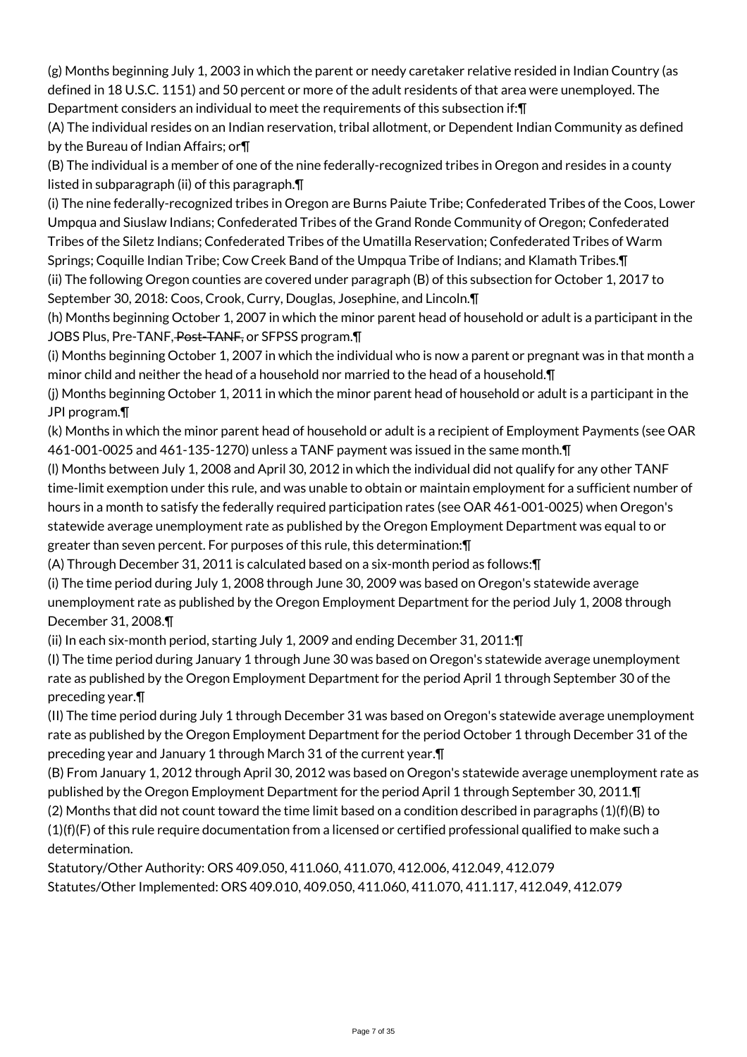(g) Months beginning July 1, 2003 in which the parent or needy caretaker relative resided in Indian Country (as defined in 18 U.S.C. 1151) and 50 percent or more of the adult residents of that area were unemployed. The Department considers an individual to meet the requirements of this subsection if:¶

(A) The individual resides on an Indian reservation, tribal allotment, or Dependent Indian Community as defined by the Bureau of Indian Affairs; or¶

(B) The individual is a member of one of the nine federally-recognized tribes in Oregon and resides in a county listed in subparagraph (ii) of this paragraph.¶

(i) The nine federally-recognized tribes in Oregon are Burns Paiute Tribe; Confederated Tribes of the Coos, Lower Umpqua and Siuslaw Indians; Confederated Tribes of the Grand Ronde Community of Oregon; Confederated Tribes of the Siletz Indians; Confederated Tribes of the Umatilla Reservation; Confederated Tribes of Warm

Springs; Coquille Indian Tribe; Cow Creek Band of the Umpqua Tribe of Indians; and Klamath Tribes.¶ (ii) The following Oregon counties are covered under paragraph (B) of this subsection for October 1, 2017 to September 30, 2018: Coos, Crook, Curry, Douglas, Josephine, and Lincoln.¶

(h) Months beginning October 1, 2007 in which the minor parent head of household or adult is a participant in the JOBS Plus, Pre-TANF, Post-TANF, or SFPSS program.

(i) Months beginning October 1, 2007 in which the individual who is now a parent or pregnant was in that month a minor child and neither the head of a household nor married to the head of a household.¶

(j) Months beginning October 1, 2011 in which the minor parent head of household or adult is a participant in the JPI program.¶

(k) Months in which the minor parent head of household or adult is a recipient of Employment Payments (see OAR 461-001-0025 and 461-135-1270) unless a TANF payment was issued in the same month.¶

(l) Months between July 1, 2008 and April 30, 2012 in which the individual did not qualify for any other TANF time-limit exemption under this rule, and was unable to obtain or maintain employment for a sufficient number of hours in a month to satisfy the federally required participation rates (see OAR 461-001-0025) when Oregon's statewide average unemployment rate as published by the Oregon Employment Department was equal to or greater than seven percent. For purposes of this rule, this determination:¶

(A) Through December 31, 2011 is calculated based on a six-month period as follows:¶

(i) The time period during July 1, 2008 through June 30, 2009 was based on Oregon's statewide average unemployment rate as published by the Oregon Employment Department for the period July 1, 2008 through December 31, 2008.¶

(ii) In each six-month period, starting July 1, 2009 and ending December 31, 2011:¶

(I) The time period during January 1 through June 30 was based on Oregon's statewide average unemployment rate as published by the Oregon Employment Department for the period April 1 through September 30 of the preceding year.¶

(II) The time period during July 1 through December 31 was based on Oregon's statewide average unemployment rate as published by the Oregon Employment Department for the period October 1 through December 31 of the preceding year and January 1 through March 31 of the current year.¶

(B) From January 1, 2012 through April 30, 2012 was based on Oregon's statewide average unemployment rate as published by the Oregon Employment Department for the period April 1 through September 30, 2011.¶

(2) Months that did not count toward the time limit based on a condition described in paragraphs (1)(f)(B) to  $(1)(f)(F)$  of this rule require documentation from a licensed or certified professional qualified to make such a determination.

Statutory/Other Authority: ORS 409.050, 411.060, 411.070, 412.006, 412.049, 412.079 Statutes/Other Implemented: ORS 409.010, 409.050, 411.060, 411.070, 411.117, 412.049, 412.079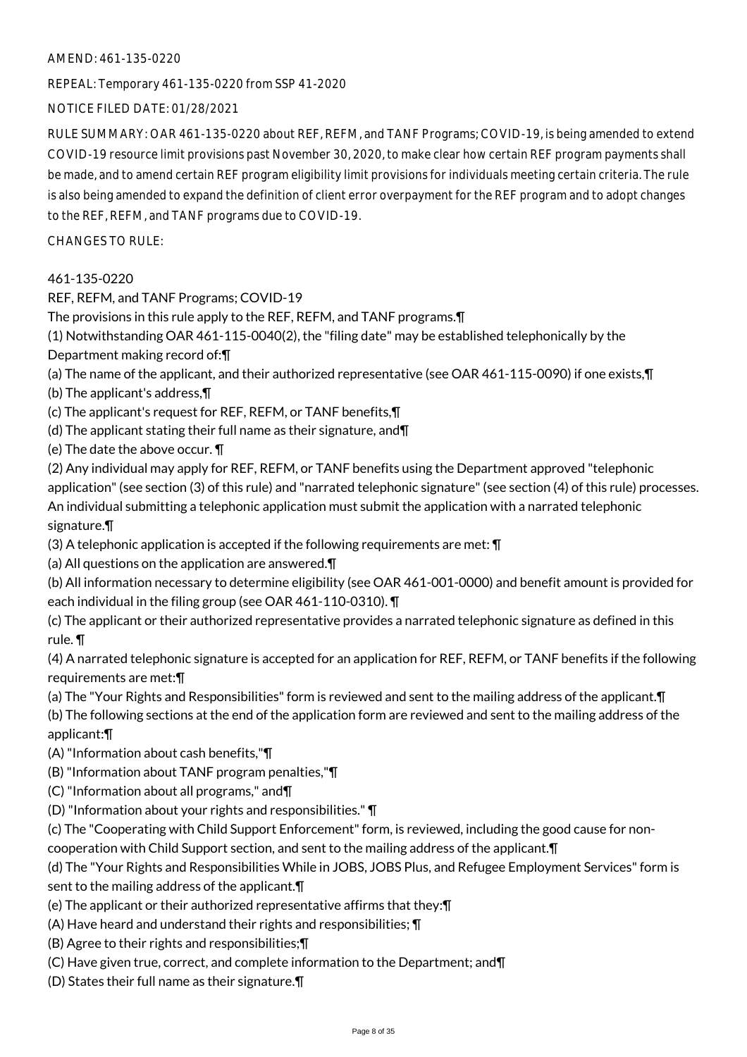REPEAL: Temporary 461-135-0220 from SSP 41-2020

NOTICE FILED DATE: 01/28/2021

RULE SUMMARY: OAR 461-135-0220 about REF, REFM, and TANF Programs; COVID-19, is being amended to extend COVID-19 resource limit provisions past November 30, 2020, to make clear how certain REF program payments shall be made, and to amend certain REF program eligibility limit provisions for individuals meeting certain criteria. The rule is also being amended to expand the definition of client error overpayment for the REF program and to adopt changes to the REF, REFM, and TANF programs due to COVID-19.

CHANGES TO RULE:

## 461-135-0220

REF, REFM, and TANF Programs; COVID-19

The provisions in this rule apply to the REF, REFM, and TANF programs.¶

(1) Notwithstanding OAR 461-115-0040(2), the "filing date" may be established telephonically by the Department making record of:¶

- (a) The name of the applicant, and their authorized representative (see OAR 461-115-0090) if one exists,¶
- (b) The applicant's address,¶

(c) The applicant's request for REF, REFM, or TANF benefits,¶

(d) The applicant stating their full name as their signature, and¶

(e) The date the above occur. ¶

(2) Any individual may apply for REF, REFM, or TANF benefits using the Department approved "telephonic application" (see section (3) of this rule) and "narrated telephonic signature" (see section (4) of this rule) processes. An individual submitting a telephonic application must submit the application with a narrated telephonic signature.¶

(3) A telephonic application is accepted if the following requirements are met: ¶

(a) All questions on the application are answered.¶

(b) All information necessary to determine eligibility (see OAR 461-001-0000) and benefit amount is provided for each individual in the filing group (see OAR 461-110-0310). ¶

(c) The applicant or their authorized representative provides a narrated telephonic signature as defined in this rule. ¶

(4) A narrated telephonic signature is accepted for an application for REF, REFM, or TANF benefits if the following requirements are met:¶

(a) The "Your Rights and Responsibilities" form is reviewed and sent to the mailing address of the applicant.¶

(b) The following sections at the end of the application form are reviewed and sent to the mailing address of the applicant:¶

(A) "Information about cash benefits,"¶

(B) "Information about TANF program penalties,"¶

- (C) "Information about all programs," and¶
- (D) "Information about your rights and responsibilities." ¶

(c) The "Cooperating with Child Support Enforcement" form, is reviewed, including the good cause for noncooperation with Child Support section, and sent to the mailing address of the applicant.¶

(d) The "Your Rights and Responsibilities While in JOBS, JOBS Plus, and Refugee Employment Services" form is sent to the mailing address of the applicant.¶

- (e) The applicant or their authorized representative affirms that they:¶
- (A) Have heard and understand their rights and responsibilities; ¶
- (B) Agree to their rights and responsibilities;¶
- (C) Have given true, correct, and complete information to the Department; and¶
- (D) States their full name as their signature.¶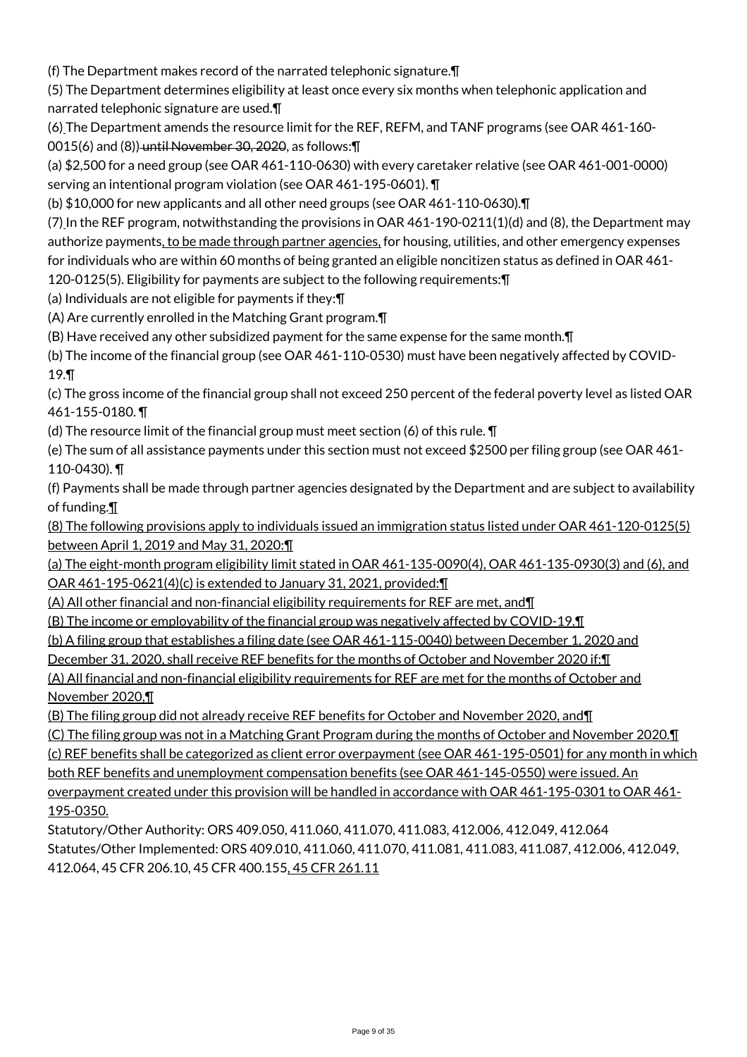(f) The Department makes record of the narrated telephonic signature.¶

(5) The Department determines eligibility at least once every six months when telephonic application and narrated telephonic signature are used.¶

(6) The Department amends the resource limit for the REF, REFM, and TANF programs (see OAR 461-160- 0015(6) and (8)) until November 30, 2020, as follows: []

(a) \$2,500 for a need group (see OAR 461-110-0630) with every caretaker relative (see OAR 461-001-0000) serving an intentional program violation (see OAR 461-195-0601). ¶

(b) \$10,000 for new applicants and all other need groups (see OAR 461-110-0630).¶

(7) In the REF program, notwithstanding the provisions in OAR 461-190-0211(1)(d) and (8), the Department may authorize payments, to be made through partner agencies, for housing, utilities, and other emergency expenses for individuals who are within 60 months of being granted an eligible noncitizen status as defined in OAR 461- 120-0125(5). Eligibility for payments are subject to the following requirements:¶

(a) Individuals are not eligible for payments if they:¶

(A) Are currently enrolled in the Matching Grant program.¶

(B) Have received any other subsidized payment for the same expense for the same month.¶

(b) The income of the financial group (see OAR 461-110-0530) must have been negatively affected by COVID-19.¶

(c) The gross income of the financial group shall not exceed 250 percent of the federal poverty level as listed OAR 461-155-0180. ¶

(d) The resource limit of the financial group must meet section (6) of this rule. ¶

(e) The sum of all assistance payments under this section must not exceed \$2500 per filing group (see OAR 461- 110-0430). ¶

(f) Payments shall be made through partner agencies designated by the Department and are subject to availability of funding.¶

(8) The following provisions apply to individuals issued an immigration status listed under OAR 461-120-0125(5) between April 1, 2019 and May 31, 2020:¶

(a) The eight-month program eligibility limit stated in OAR 461-135-0090(4), OAR 461-135-0930(3) and (6), and OAR 461-195-0621(4)(c) is extended to January 31, 2021, provided:¶

(A) All other financial and non-financial eligibility requirements for REF are met, and¶

(B) The income or employability of the financial group was negatively affected by COVID-19.¶

(b) A filing group that establishes a filing date (see OAR 461-115-0040) between December 1, 2020 and

December 31, 2020, shall receive REF benefits for the months of October and November 2020 if:¶

(A) All financial and non-financial eligibility requirements for REF are met for the months of October and November 2020,¶

(B) The filing group did not already receive REF benefits for October and November 2020, and¶

(C) The filing group was not in a Matching Grant Program during the months of October and November 2020.¶

(c) REF benefits shall be categorized as client error overpayment (see OAR 461-195-0501) for any month in which

both REF benefits and unemployment compensation benefits (see OAR 461-145-0550) were issued. An

overpayment created under this provision will be handled in accordance with OAR 461-195-0301 to OAR 461- 195-0350.

Statutory/Other Authority: ORS 409.050, 411.060, 411.070, 411.083, 412.006, 412.049, 412.064 Statutes/Other Implemented: ORS 409.010, 411.060, 411.070, 411.081, 411.083, 411.087, 412.006, 412.049, 412.064, 45 CFR 206.10, 45 CFR 400.155, 45 CFR 261.11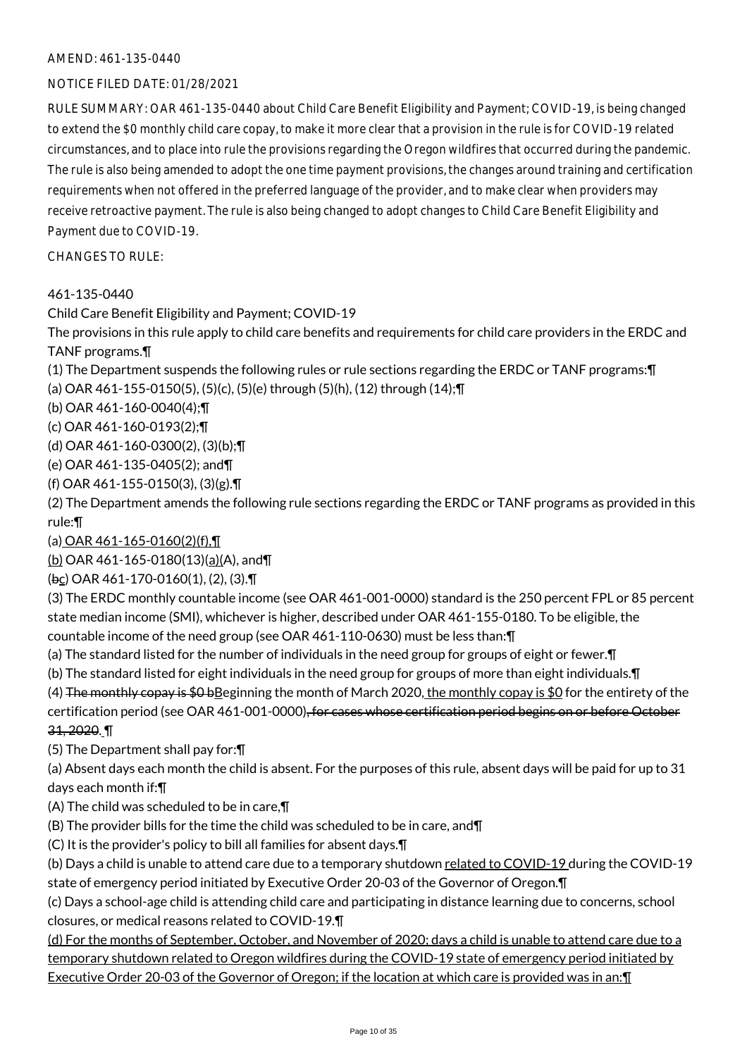#### NOTICE FILED DATE: 01/28/2021

RULE SUMMARY: OAR 461-135-0440 about Child Care Benefit Eligibility and Payment; COVID-19, is being changed to extend the \$0 monthly child care copay, to make it more clear that a provision in the rule is for COVID-19 related circumstances, and to place into rule the provisions regarding the Oregon wildfires that occurred during the pandemic. The rule is also being amended to adopt the one time payment provisions, the changes around training and certification requirements when not offered in the preferred language of the provider, and to make clear when providers may receive retroactive payment. The rule is also being changed to adopt changes to Child Care Benefit Eligibility and Payment due to COVID-19.

CHANGES TO RULE:

461-135-0440

Child Care Benefit Eligibility and Payment; COVID-19

The provisions in this rule apply to child care benefits and requirements for child care providers in the ERDC and TANF programs.¶

(1) The Department suspends the following rules or rule sections regarding the ERDC or TANF programs:¶ (a) OAR 461-155-0150(5), (5)(c), (5)(e) through (5)(h), (12) through (14);¶

(b) OAR 461-160-0040(4);¶

(c) OAR 461-160-0193(2);¶

- (d) OAR 461-160-0300(2), (3)(b);¶
- (e) OAR 461-135-0405(2); and¶

(f) OAR 461-155-0150(3), (3)(g).¶

(2) The Department amends the following rule sections regarding the ERDC or TANF programs as provided in this rule:¶

(a) OAR 461-165-0160(2)(f),¶

(b) OAR 461-165-0180(13)(a)(A), and¶

(bc) OAR 461-170-0160(1), (2), (3).¶

(3) The ERDC monthly countable income (see OAR 461-001-0000) standard is the 250 percent FPL or 85 percent state median income (SMI), whichever is higher, described under OAR 461-155-0180. To be eligible, the countable income of the need group (see OAR 461-110-0630) must be less than:¶

- 
- (a) The standard listed for the number of individuals in the need group for groups of eight or fewer.¶ (b) The standard listed for eight individuals in the need group for groups of more than eight individuals.¶

(4) The monthly copay is  $$0 b$ Beginning the month of March 2020, the monthly copay is \$0 for the entirety of the certification period (see OAR 461-001-0000), for cases whose certification period begins on or before October

31, 2020. ¶

(5) The Department shall pay for:¶

(a) Absent days each month the child is absent. For the purposes of this rule, absent days will be paid for up to 31 days each month if:¶

(A) The child was scheduled to be in care,¶

(B) The provider bills for the time the child was scheduled to be in care, and¶

(C) It is the provider's policy to bill all families for absent days.¶

(b) Days a child is unable to attend care due to a temporary shutdown related to COVID-19 during the COVID-19 state of emergency period initiated by Executive Order 20-03 of the Governor of Oregon.¶

(c) Days a school-age child is attending child care and participating in distance learning due to concerns, school closures, or medical reasons related to COVID-19.¶

(d) For the months of September, October, and November of 2020; days a child is unable to attend care due to a temporary shutdown related to Oregon wildfires during the COVID-19 state of emergency period initiated by Executive Order 20-03 of the Governor of Oregon; if the location at which care is provided was in an:¶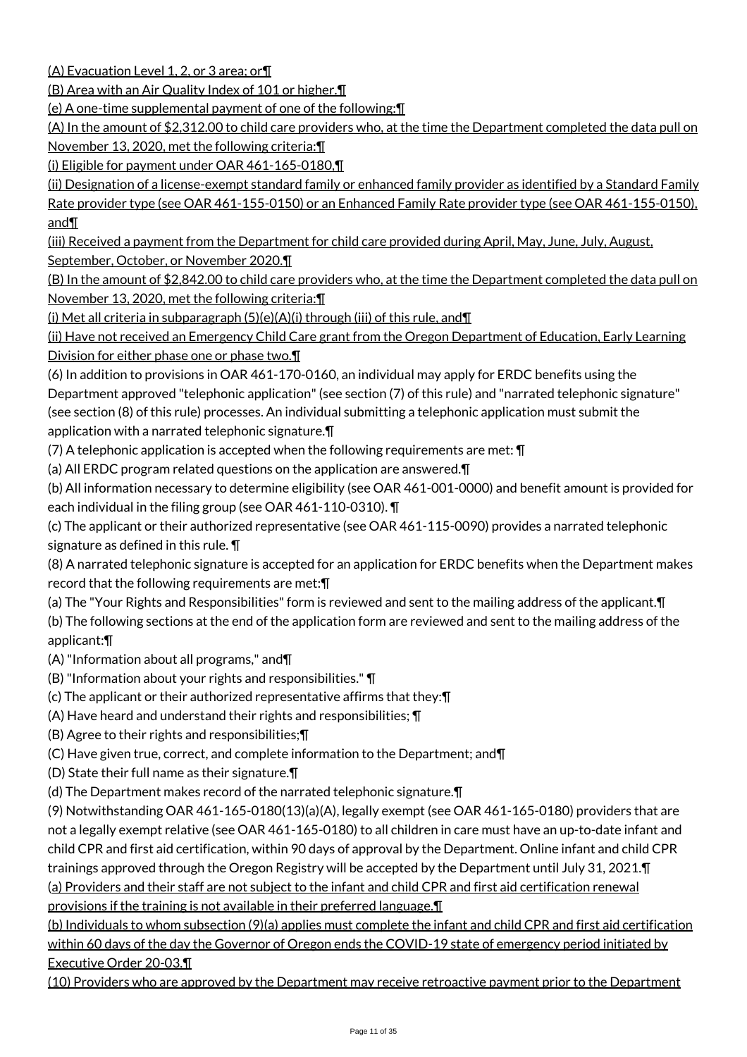(A) Evacuation Level 1, 2, or 3 area; or¶

(B) Area with an Air Quality Index of 101 or higher.¶

(e) A one-time supplemental payment of one of the following:¶

(A) In the amount of \$2,312.00 to child care providers who, at the time the Department completed the data pull on November 13, 2020, met the following criteria:¶

(i) Eligible for payment under OAR 461-165-0180,¶

(ii) Designation of a license-exempt standard family or enhanced family provider as identified by a Standard Family Rate provider type (see OAR 461-155-0150) or an Enhanced Family Rate provider type (see OAR 461-155-0150), and¶

(iii) Received a payment from the Department for child care provided during April, May, June, July, August, September, October, or November 2020.¶

(B) In the amount of \$2,842.00 to child care providers who, at the time the Department completed the data pull on November 13, 2020, met the following criteria:¶

(i) Met all criteria in subparagraph (5)(e)(A)(i) through (iii) of this rule, and¶

(ii) Have not received an Emergency Child Care grant from the Oregon Department of Education, Early Learning Division for either phase one or phase two.

(6) In addition to provisions in OAR 461-170-0160, an individual may apply for ERDC benefits using the Department approved "telephonic application" (see section (7) of this rule) and "narrated telephonic signature" (see section (8) of this rule) processes. An individual submitting a telephonic application must submit the application with a narrated telephonic signature.¶

(7) A telephonic application is accepted when the following requirements are met: ¶

(a) All ERDC program related questions on the application are answered.¶

(b) All information necessary to determine eligibility (see OAR 461-001-0000) and benefit amount is provided for each individual in the filing group (see OAR 461-110-0310). ¶

(c) The applicant or their authorized representative (see OAR 461-115-0090) provides a narrated telephonic signature as defined in this rule. ¶

(8) A narrated telephonic signature is accepted for an application for ERDC benefits when the Department makes record that the following requirements are met:¶

(a) The "Your Rights and Responsibilities" form is reviewed and sent to the mailing address of the applicant.¶

(b) The following sections at the end of the application form are reviewed and sent to the mailing address of the applicant:¶

(A) "Information about all programs," and¶

(B) "Information about your rights and responsibilities." ¶

(c) The applicant or their authorized representative affirms that they:¶

(A) Have heard and understand their rights and responsibilities; ¶

(B) Agree to their rights and responsibilities;¶

(C) Have given true, correct, and complete information to the Department; and¶

(D) State their full name as their signature.¶

(d) The Department makes record of the narrated telephonic signature.¶

(9) Notwithstanding OAR 461-165-0180(13)(a)(A), legally exempt (see OAR 461-165-0180) providers that are not a legally exempt relative (see OAR 461-165-0180) to all children in care must have an up-to-date infant and child CPR and first aid certification, within 90 days of approval by the Department. Online infant and child CPR trainings approved through the Oregon Registry will be accepted by the Department until July 31, 2021.¶

(a) Providers and their staff are not subject to the infant and child CPR and first aid certification renewal provisions if the training is not available in their preferred language.¶

(b) Individuals to whom subsection (9)(a) applies must complete the infant and child CPR and first aid certification within 60 days of the day the Governor of Oregon ends the COVID-19 state of emergency period initiated by Executive Order 20-03.¶

(10) Providers who are approved by the Department may receive retroactive payment prior to the Department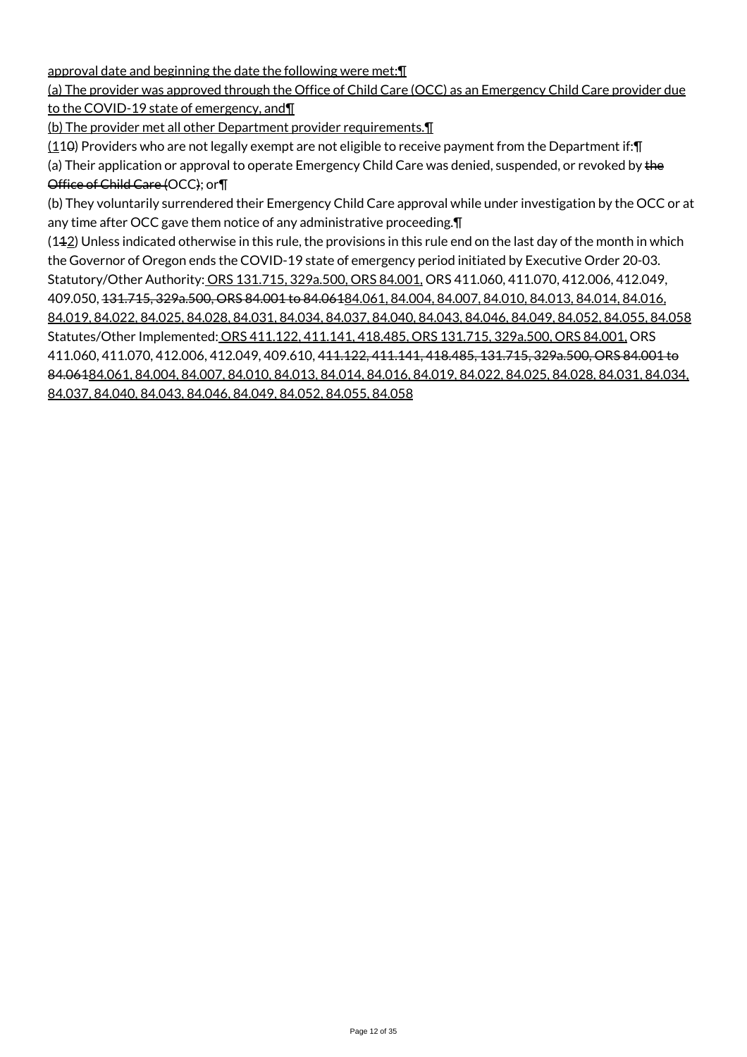approval date and beginning the date the following were met:¶

## (a) The provider was approved through the Office of Child Care (OCC) as an Emergency Child Care provider due to the COVID-19 state of emergency, and¶

(b) The provider met all other Department provider requirements.¶

 $(110)$  Providers who are not legally exempt are not eligible to receive payment from the Department if: $\P$ 

(a) Their application or approval to operate Emergency Child Care was denied, suspended, or revoked by the Office of Child Care (OCC); or¶

(b) They voluntarily surrendered their Emergency Child Care approval while under investigation by the OCC or at any time after OCC gave them notice of any administrative proceeding.¶

 $(142)$  Unless indicated otherwise in this rule, the provisions in this rule end on the last day of the month in which the Governor of Oregon ends the COVID-19 state of emergency period initiated by Executive Order 20-03. Statutory/Other Authority: ORS 131.715, 329a.500, ORS 84.001, ORS 411.060, 411.070, 412.006, 412.049, 409.050, 131.715, 329a.500, ORS 84.001 to 84.06184.061, 84.004, 84.007, 84.010, 84.013, 84.014, 84.016, 84.019, 84.022, 84.025, 84.028, 84.031, 84.034, 84.037, 84.040, 84.043, 84.046, 84.049, 84.052, 84.055, 84.058 Statutes/Other Implemented: ORS 411.122, 411.141, 418.485, ORS 131.715, 329a.500, ORS 84.001, ORS 411.060, 411.070, 412.006, 412.049, 409.610, 411.122, 411.141, 418.485, 131.715, 329a.500, ORS 84.001 to 84.06184.061, 84.004, 84.007, 84.010, 84.013, 84.014, 84.016, 84.019, 84.022, 84.025, 84.028, 84.031, 84.034, 84.037, 84.040, 84.043, 84.046, 84.049, 84.052, 84.055, 84.058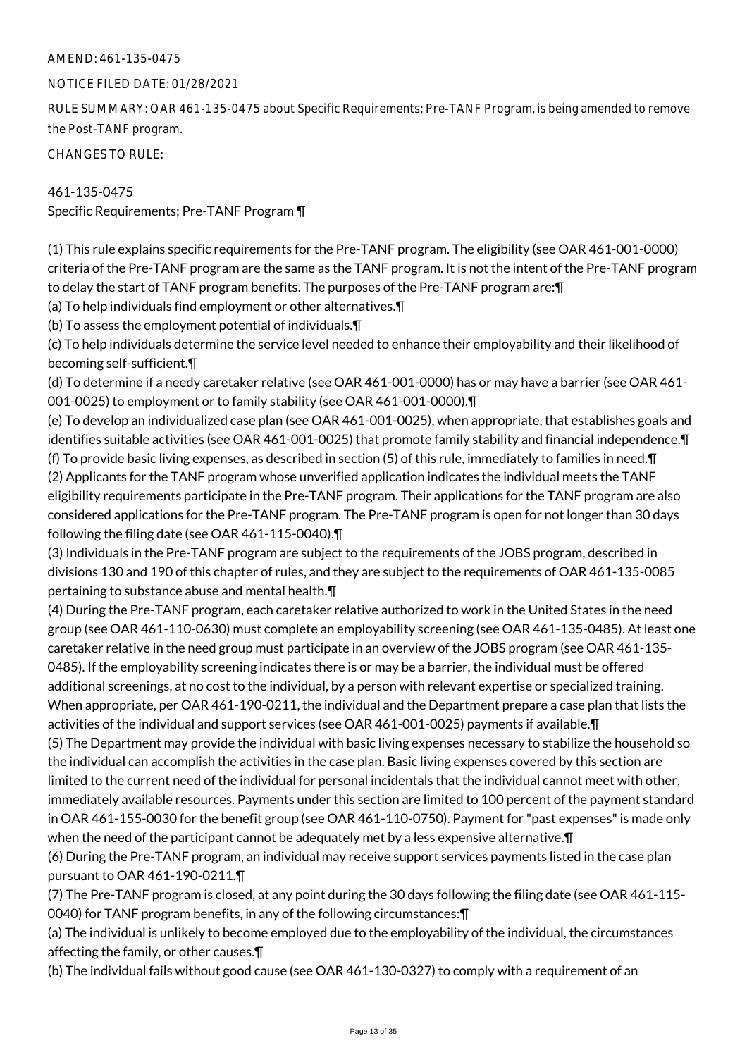#### NOTICE FILED DATE: 01/28/2021

RULE SUMMARY: OAR 461-135-0475 about Specific Requirements; Pre-TANF Program, is being amended to remove the Post-TANF program.

CHANGES TO RULE:

461-135-0475 Specific Requirements; Pre-TANF Program ¶

(1) This rule explains specific requirements for the Pre-TANF program. The eligibility (see OAR 461-001-0000) criteria of the Pre-TANF program are the same as the TANF program. It is not the intent of the Pre-TANF program to delay the start of TANF program benefits. The purposes of the Pre-TANF program are:¶

(a) To help individuals find employment or other alternatives.¶

(b) To assess the employment potential of individuals.¶

(c) To help individuals determine the service level needed to enhance their employability and their likelihood of becoming self-sufficient.¶

(d) To determine if a needy caretaker relative (see OAR 461-001-0000) has or may have a barrier (see OAR 461- 001-0025) to employment or to family stability (see OAR 461-001-0000).¶

(e) To develop an individualized case plan (see OAR 461-001-0025), when appropriate, that establishes goals and identifies suitable activities (see OAR 461-001-0025) that promote family stability and financial independence.¶ (f) To provide basic living expenses, as described in section (5) of this rule, immediately to families in need.¶ (2) Applicants for the TANF program whose unverified application indicates the individual meets the TANF eligibility requirements participate in the Pre-TANF program. Their applications for the TANF program are also considered applications for the Pre-TANF program. The Pre-TANF program is open for not longer than 30 days following the filing date (see OAR 461-115-0040).¶

(3) Individuals in the Pre-TANF program are subject to the requirements of the JOBS program, described in divisions 130 and 190 of this chapter of rules, and they are subject to the requirements of OAR 461-135-0085 pertaining to substance abuse and mental health.¶

(4) During the Pre-TANF program, each caretaker relative authorized to work in the United States in the need group (see OAR 461-110-0630) must complete an employability screening (see OAR 461-135-0485). At least one caretaker relative in the need group must participate in an overview of the JOBS program (see OAR 461-135- 0485). If the employability screening indicates there is or may be a barrier, the individual must be offered additional screenings, at no cost to the individual, by a person with relevant expertise or specialized training. When appropriate, per OAR 461-190-0211, the individual and the Department prepare a case plan that lists the activities of the individual and support services (see OAR 461-001-0025) payments if available.¶

(5) The Department may provide the individual with basic living expenses necessary to stabilize the household so the individual can accomplish the activities in the case plan. Basic living expenses covered by this section are limited to the current need of the individual for personal incidentals that the individual cannot meet with other, immediately available resources. Payments under this section are limited to 100 percent of the payment standard in OAR 461-155-0030 for the benefit group (see OAR 461-110-0750). Payment for "past expenses" is made only when the need of the participant cannot be adequately met by a less expensive alternative.¶

(6) During the Pre-TANF program, an individual may receive support services payments listed in the case plan pursuant to OAR 461-190-0211.¶

(7) The Pre-TANF program is closed, at any point during the 30 days following the filing date (see OAR 461-115- 0040) for TANF program benefits, in any of the following circumstances:¶

(a) The individual is unlikely to become employed due to the employability of the individual, the circumstances affecting the family, or other causes.¶

(b) The individual fails without good cause (see OAR 461-130-0327) to comply with a requirement of an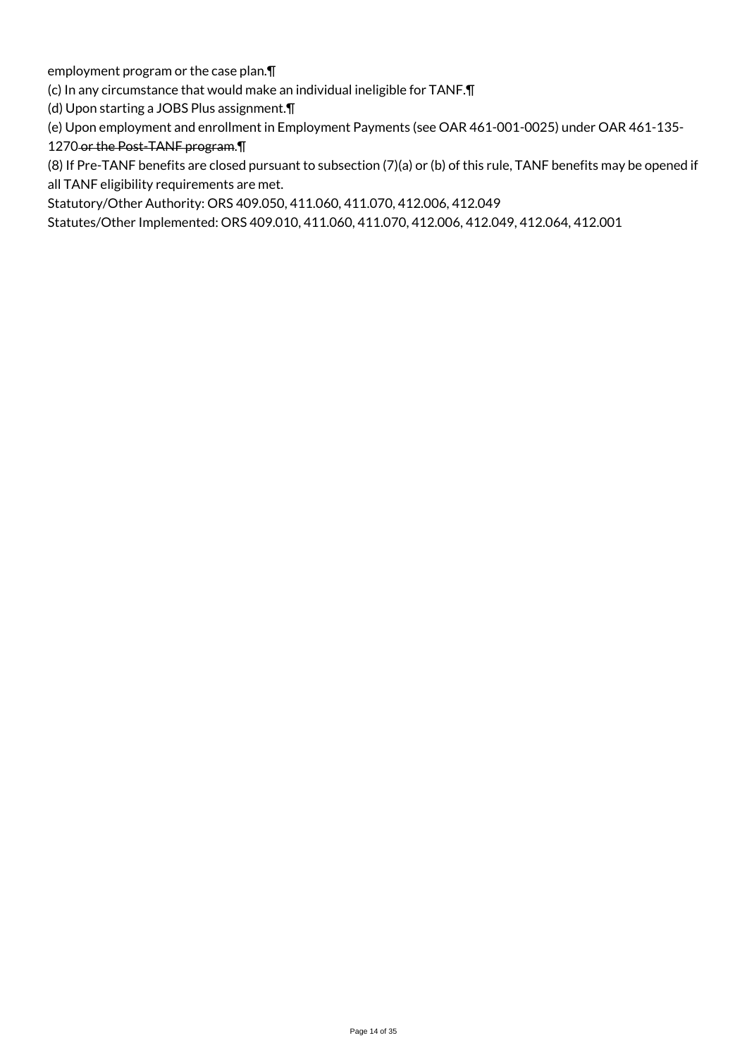employment program or the case plan.¶

(c) In any circumstance that would make an individual ineligible for TANF.¶

(d) Upon starting a JOBS Plus assignment.¶

(e) Upon employment and enrollment in Employment Payments (see OAR 461-001-0025) under OAR 461-135-

1270 or the Post-TANF program.¶

(8) If Pre-TANF benefits are closed pursuant to subsection (7)(a) or (b) of this rule, TANF benefits may be opened if all TANF eligibility requirements are met.

Statutory/Other Authority: ORS 409.050, 411.060, 411.070, 412.006, 412.049

Statutes/Other Implemented: ORS 409.010, 411.060, 411.070, 412.006, 412.049, 412.064, 412.001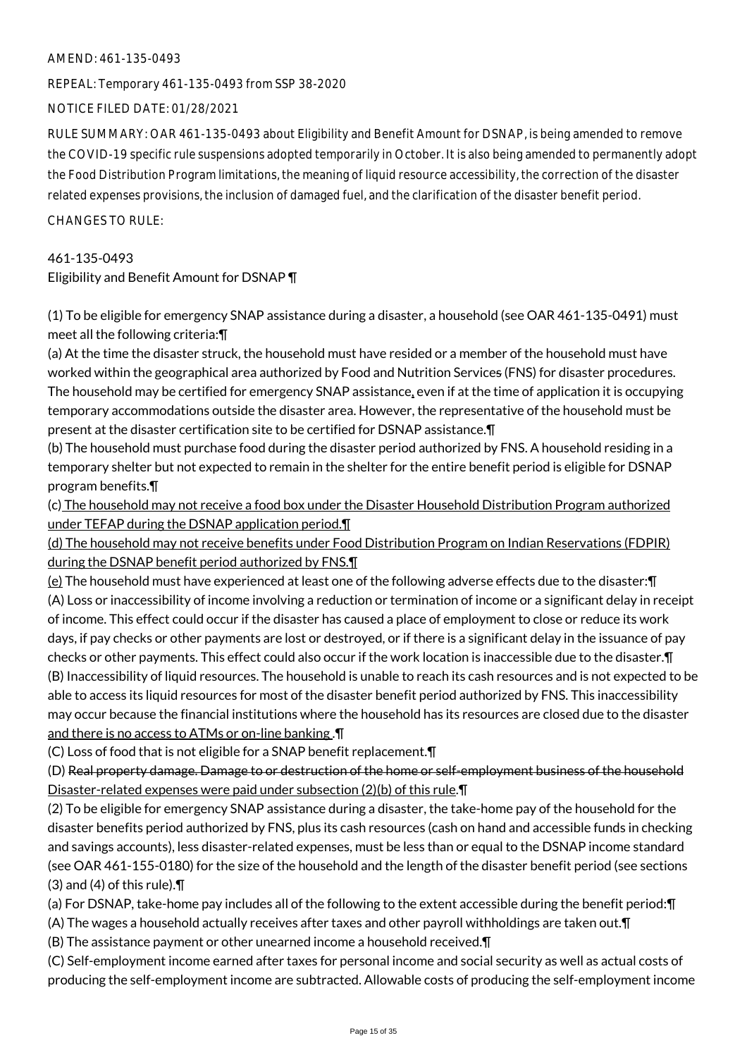REPEAL: Temporary 461-135-0493 from SSP 38-2020

NOTICE FILED DATE: 01/28/2021

RULE SUMMARY: OAR 461-135-0493 about Eligibility and Benefit Amount for DSNAP, is being amended to remove the COVID-19 specific rule suspensions adopted temporarily in October. It is also being amended to permanently adopt the Food Distribution Program limitations, the meaning of liquid resource accessibility, the correction of the disaster related expenses provisions, the inclusion of damaged fuel, and the clarification of the disaster benefit period.

CHANGES TO RULE:

## 461-135-0493

Eligibility and Benefit Amount for DSNAP ¶

(1) To be eligible for emergency SNAP assistance during a disaster, a household (see OAR 461-135-0491) must meet all the following criteria:¶

(a) At the time the disaster struck, the household must have resided or a member of the household must have worked within the geographical area authorized by Food and Nutrition Services (FNS) for disaster procedures. The household may be certified for emergency SNAP assistance, even if at the time of application it is occupying temporary accommodations outside the disaster area. However, the representative of the household must be present at the disaster certification site to be certified for DSNAP assistance.¶

(b) The household must purchase food during the disaster period authorized by FNS. A household residing in a temporary shelter but not expected to remain in the shelter for the entire benefit period is eligible for DSNAP program benefits.¶

(c) The household may not receive a food box under the Disaster Household Distribution Program authorized under TEFAP during the DSNAP application period.¶

(d) The household may not receive benefits under Food Distribution Program on Indian Reservations (FDPIR) during the DSNAP benefit period authorized by FNS.¶

 $(e)$  The household must have experienced at least one of the following adverse effects due to the disaster: $\P$ (A) Loss or inaccessibility of income involving a reduction or termination of income or a significant delay in receipt of income. This effect could occur if the disaster has caused a place of employment to close or reduce its work days, if pay checks or other payments are lost or destroyed, or if there is a significant delay in the issuance of pay checks or other payments. This effect could also occur if the work location is inaccessible due to the disaster.¶ (B) Inaccessibility of liquid resources. The household is unable to reach its cash resources and is not expected to be able to access its liquid resources for most of the disaster benefit period authorized by FNS. This inaccessibility may occur because the financial institutions where the household has its resources are closed due to the disaster and there is no access to ATMs or on-line banking .¶

(C) Loss of food that is not eligible for a SNAP benefit replacement.¶

(D) Real property damage. Damage to or destruction of the home or self-employment business of the household Disaster-related expenses were paid under subsection (2)(b) of this rule.¶

(2) To be eligible for emergency SNAP assistance during a disaster, the take-home pay of the household for the disaster benefits period authorized by FNS, plus its cash resources (cash on hand and accessible funds in checking and savings accounts), less disaster-related expenses, must be less than or equal to the DSNAP income standard (see OAR 461-155-0180) for the size of the household and the length of the disaster benefit period (see sections (3) and (4) of this rule).¶

(a) For DSNAP, take-home pay includes all of the following to the extent accessible during the benefit period:¶

(A) The wages a household actually receives after taxes and other payroll withholdings are taken out.¶

(B) The assistance payment or other unearned income a household received.¶

(C) Self-employment income earned after taxes for personal income and social security as well as actual costs of producing the self-employment income are subtracted. Allowable costs of producing the self-employment income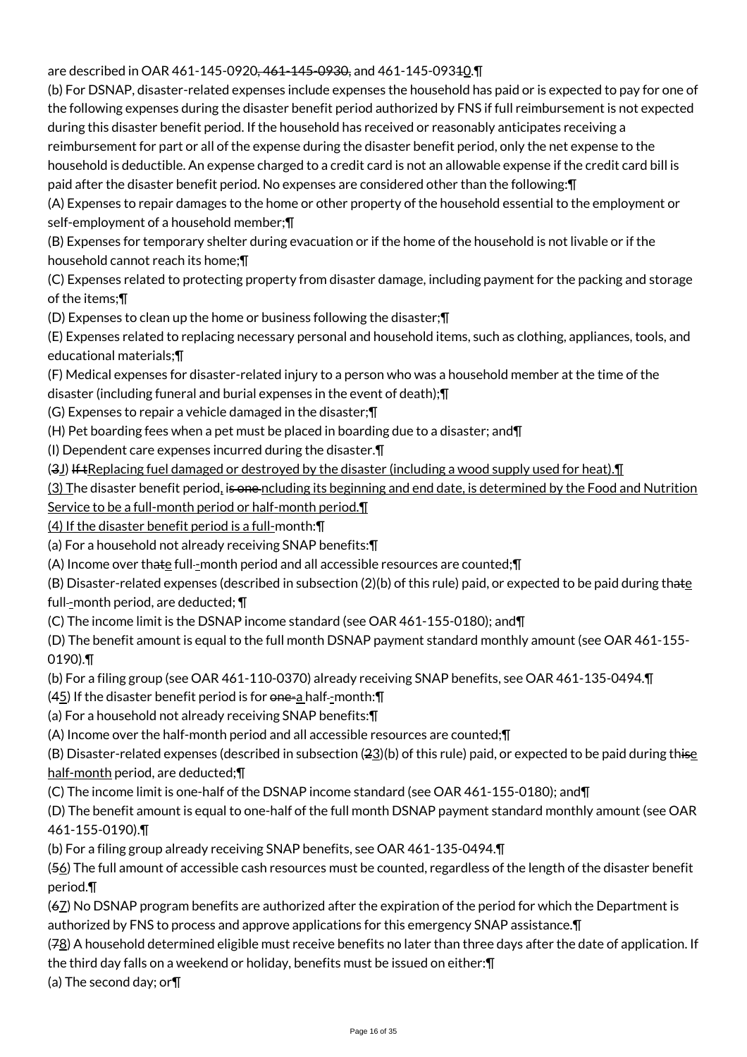## are described in OAR 461-145-0920<del>, 461-145-0930,</del> and 461-145-09340.

(b) For DSNAP, disaster-related expenses include expenses the household has paid or is expected to pay for one of the following expenses during the disaster benefit period authorized by FNS if full reimbursement is not expected during this disaster benefit period. If the household has received or reasonably anticipates receiving a reimbursement for part or all of the expense during the disaster benefit period, only the net expense to the household is deductible. An expense charged to a credit card is not an allowable expense if the credit card bill is paid after the disaster benefit period. No expenses are considered other than the following:¶

(A) Expenses to repair damages to the home or other property of the household essential to the employment or self-employment of a household member;¶

(B) Expenses for temporary shelter during evacuation or if the home of the household is not livable or if the household cannot reach its home;¶

(C) Expenses related to protecting property from disaster damage, including payment for the packing and storage of the items;¶

(D) Expenses to clean up the home or business following the disaster;¶

(E) Expenses related to replacing necessary personal and household items, such as clothing, appliances, tools, and educational materials;¶

(F) Medical expenses for disaster-related injury to a person who was a household member at the time of the

disaster (including funeral and burial expenses in the event of death);¶

(G) Expenses to repair a vehicle damaged in the disaster;¶

(H) Pet boarding fees when a pet must be placed in boarding due to a disaster; and¶

(I) Dependent care expenses incurred during the disaster.¶

(3J) If tReplacing fuel damaged or destroyed by the disaster (including a wood supply used for heat).¶

(3) The disaster benefit period, is one ncluding its beginning and end date, is determined by the Food and Nutrition

Service to be a full-month period or half-month period.¶

(4) If the disaster benefit period is a full-month:¶

(a) For a household not already receiving SNAP benefits:¶

(A) Income over thate full-month period and all accessible resources are counted;  $\P$ 

(B) Disaster-related expenses (described in subsection  $(2)(b)$  of this rule) paid, or expected to be paid during thate full--month period, are deducted;  $\P$ 

(C) The income limit is the DSNAP income standard (see OAR 461-155-0180); and¶

(D) The benefit amount is equal to the full month DSNAP payment standard monthly amount (see OAR 461-155- 0190).¶

(b) For a filing group (see OAR 461-110-0370) already receiving SNAP benefits, see OAR 461-135-0494.¶

 $(45)$  If the disaster benefit period is for one-a half--month: $\P$ 

(a) For a household not already receiving SNAP benefits:¶

(A) Income over the half-month period and all accessible resources are counted;¶

(B) Disaster-related expenses (described in subsection  $(23)(b)$  of this rule) paid, or expected to be paid during thise half-month period, are deducted;¶

(C) The income limit is one-half of the DSNAP income standard (see OAR 461-155-0180); and¶

(D) The benefit amount is equal to one-half of the full month DSNAP payment standard monthly amount (see OAR 461-155-0190).¶

(b) For a filing group already receiving SNAP benefits, see OAR 461-135-0494.¶

(56) The full amount of accessible cash resources must be counted, regardless of the length of the disaster benefit period.¶

(67) No DSNAP program benefits are authorized after the expiration of the period for which the Department is authorized by FNS to process and approve applications for this emergency SNAP assistance.¶

(78) A household determined eligible must receive benefits no later than three days after the date of application. If the third day falls on a weekend or holiday, benefits must be issued on either:¶

(a) The second day; or¶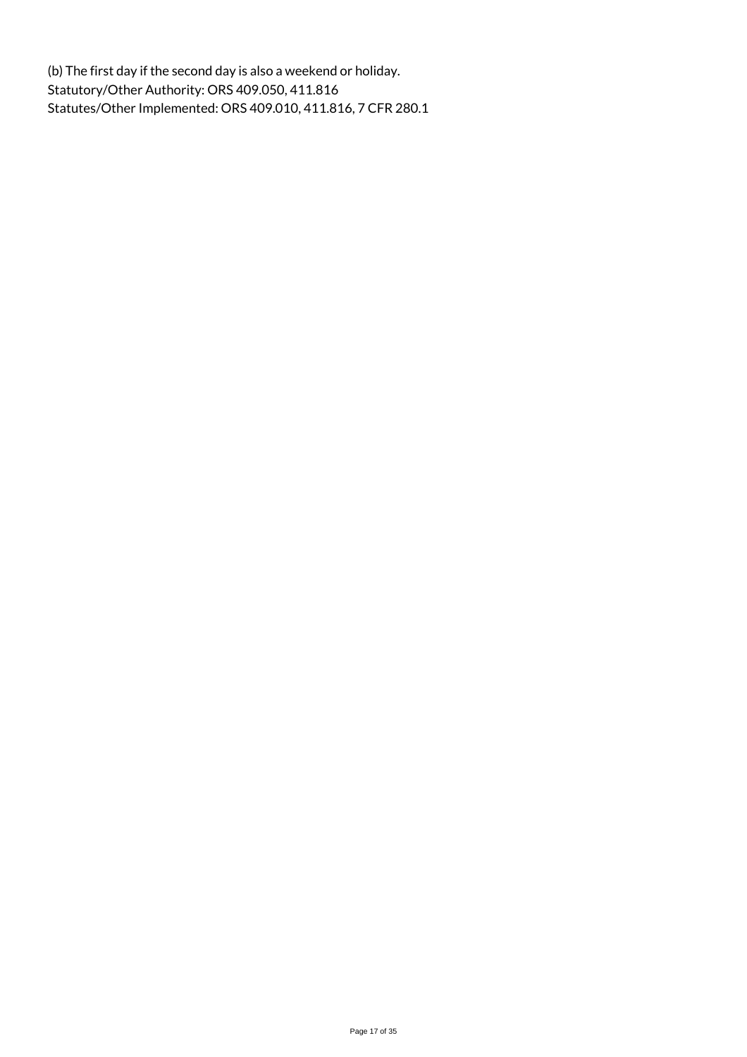(b) The first day if the second day is also a weekend or holiday. Statutory/Other Authority: ORS 409.050, 411.816 Statutes/Other Implemented: ORS 409.010, 411.816, 7 CFR 280.1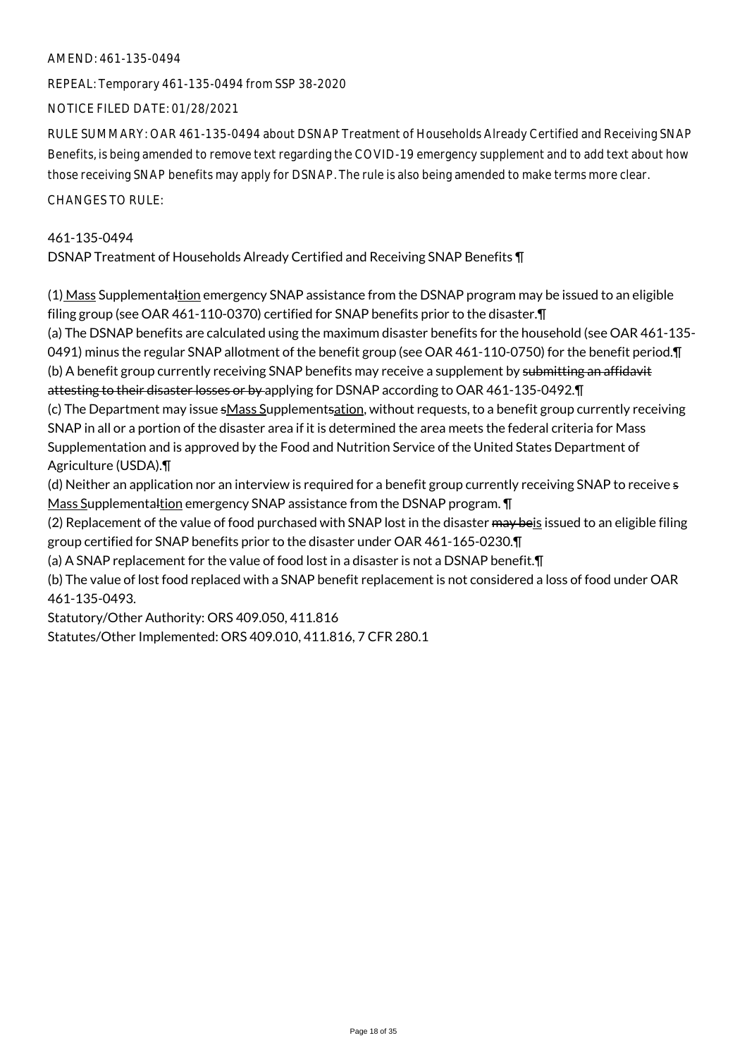REPEAL: Temporary 461-135-0494 from SSP 38-2020

NOTICE FILED DATE: 01/28/2021

RULE SUMMARY: OAR 461-135-0494 about DSNAP Treatment of Households Already Certified and Receiving SNAP Benefits, is being amended to remove text regarding the COVID-19 emergency supplement and to add text about how those receiving SNAP benefits may apply for DSNAP. The rule is also being amended to make terms more clear.

#### CHANGES TO RULE:

## 461-135-0494 DSNAP Treatment of Households Already Certified and Receiving SNAP Benefits ¶

(1) Mass Supplementaltion emergency SNAP assistance from the DSNAP program may be issued to an eligible filing group (see OAR 461-110-0370) certified for SNAP benefits prior to the disaster.¶

(a) The DSNAP benefits are calculated using the maximum disaster benefits for the household (see OAR 461-135- 0491) minus the regular SNAP allotment of the benefit group (see OAR 461-110-0750) for the benefit period.¶ (b) A benefit group currently receiving SNAP benefits may receive a supplement by submitting an affidavit attesting to their disaster losses or by applying for DSNAP according to OAR 461-135-0492. T

(c) The Department may issue sMass Supplementsation, without requests, to a benefit group currently receiving SNAP in all or a portion of the disaster area if it is determined the area meets the federal criteria for Mass Supplementation and is approved by the Food and Nutrition Service of the United States Department of Agriculture (USDA).¶

(d) Neither an application nor an interview is required for a benefit group currently receiving SNAP to receive s Mass Supplementaltion emergency SNAP assistance from the DSNAP program. ¶

(2) Replacement of the value of food purchased with SNAP lost in the disaster may beis issued to an eligible filing group certified for SNAP benefits prior to the disaster under OAR 461-165-0230.¶

(a) A SNAP replacement for the value of food lost in a disaster is not a DSNAP benefit.¶

(b) The value of lost food replaced with a SNAP benefit replacement is not considered a loss of food under OAR 461-135-0493.

Statutory/Other Authority: ORS 409.050, 411.816

Statutes/Other Implemented: ORS 409.010, 411.816, 7 CFR 280.1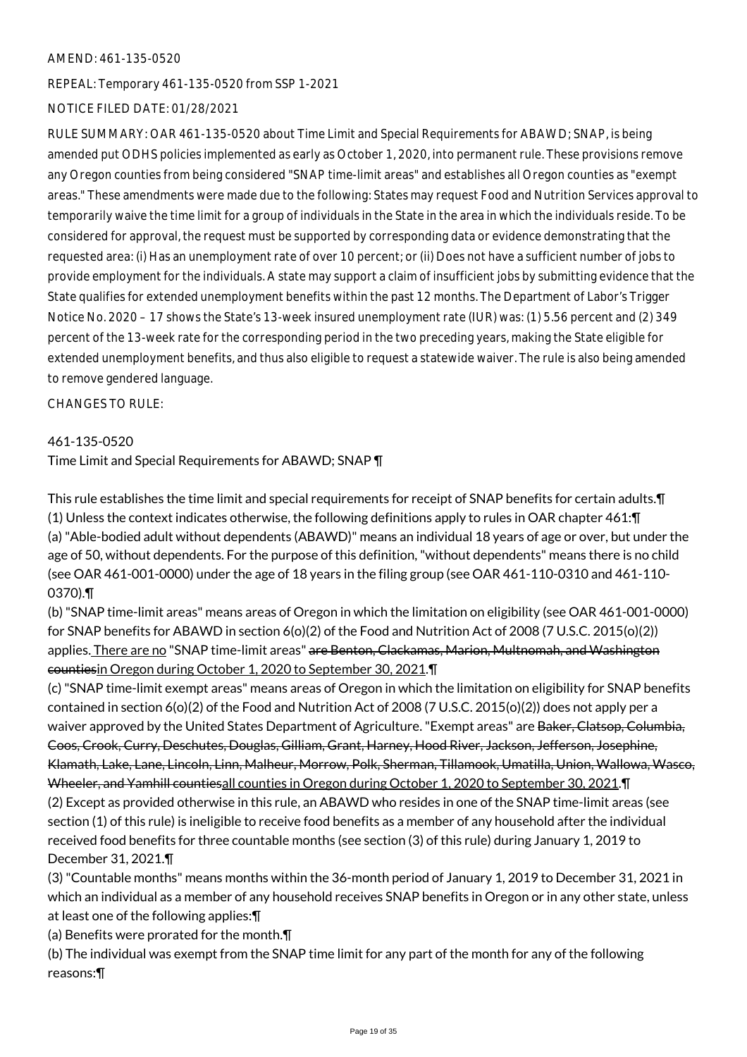REPEAL: Temporary 461-135-0520 from SSP 1-2021

## NOTICE FILED DATE: 01/28/2021

RULE SUMMARY: OAR 461-135-0520 about Time Limit and Special Requirements for ABAWD; SNAP, is being amended put ODHS policies implemented as early as October 1, 2020, into permanent rule. These provisions remove any Oregon counties from being considered "SNAP time-limit areas" and establishes all Oregon counties as "exempt areas." These amendments were made due to the following: States may request Food and Nutrition Services approval to temporarily waive the time limit for a group of individuals in the State in the area in which the individuals reside. To be considered for approval, the request must be supported by corresponding data or evidence demonstrating that the requested area: (i) Has an unemployment rate of over 10 percent; or (ii) Does not have a sufficient number of jobs to provide employment for the individuals. A state may support a claim of insufficient jobs by submitting evidence that the State qualifies for extended unemployment benefits within the past 12 months. The Department of Labor's Trigger Notice No. 2020 – 17 shows the State's 13-week insured unemployment rate (IUR) was: (1) 5.56 percent and (2) 349 percent of the 13-week rate for the corresponding period in the two preceding years, making the State eligible for extended unemployment benefits, and thus also eligible to request a statewide waiver. The rule is also being amended to remove gendered language.

CHANGES TO RULE:

#### 461-135-0520

Time Limit and Special Requirements for ABAWD; SNAP ¶

This rule establishes the time limit and special requirements for receipt of SNAP benefits for certain adults.¶ (1) Unless the context indicates otherwise, the following definitions apply to rules in OAR chapter 461:¶ (a) "Able-bodied adult without dependents (ABAWD)" means an individual 18 years of age or over, but under the age of 50, without dependents. For the purpose of this definition, "without dependents" means there is no child (see OAR 461-001-0000) under the age of 18 years in the filing group (see OAR 461-110-0310 and 461-110- 0370).¶

(b) "SNAP time-limit areas" means areas of Oregon in which the limitation on eligibility (see OAR 461-001-0000) for SNAP benefits for ABAWD in section 6(o)(2) of the Food and Nutrition Act of 2008 (7 U.S.C. 2015(o)(2)) applies. There are no "SNAP time-limit areas" are Benton, Clackamas, Marion, Multnomah, and Washington countiesin Oregon during October 1, 2020 to September 30, 2021.¶

(c) "SNAP time-limit exempt areas" means areas of Oregon in which the limitation on eligibility for SNAP benefits contained in section 6(o)(2) of the Food and Nutrition Act of 2008 (7 U.S.C. 2015(o)(2)) does not apply per a waiver approved by the United States Department of Agriculture. "Exempt areas" are <del>Baker, Clatsop, Columbia,</del> Coos, Crook, Curry, Deschutes, Douglas, Gilliam, Grant, Harney, Hood River, Jackson, Jefferson, Josephine, Klamath, Lake, Lane, Lincoln, Linn, Malheur, Morrow, Polk, Sherman, Tillamook, Umatilla, Union, Wallowa, Wasco, Wheeler, and Yamhill countiesall counties in Oregon during October 1, 2020 to September 30, 2021.¶

(2) Except as provided otherwise in this rule, an ABAWD who resides in one of the SNAP time-limit areas (see section (1) of this rule) is ineligible to receive food benefits as a member of any household after the individual received food benefits for three countable months (see section (3) of this rule) during January 1, 2019 to December 31, 2021.¶

(3) "Countable months" means months within the 36-month period of January 1, 2019 to December 31, 2021 in which an individual as a member of any household receives SNAP benefits in Oregon or in any other state, unless at least one of the following applies:¶

(a) Benefits were prorated for the month.¶

(b) The individual was exempt from the SNAP time limit for any part of the month for any of the following reasons:¶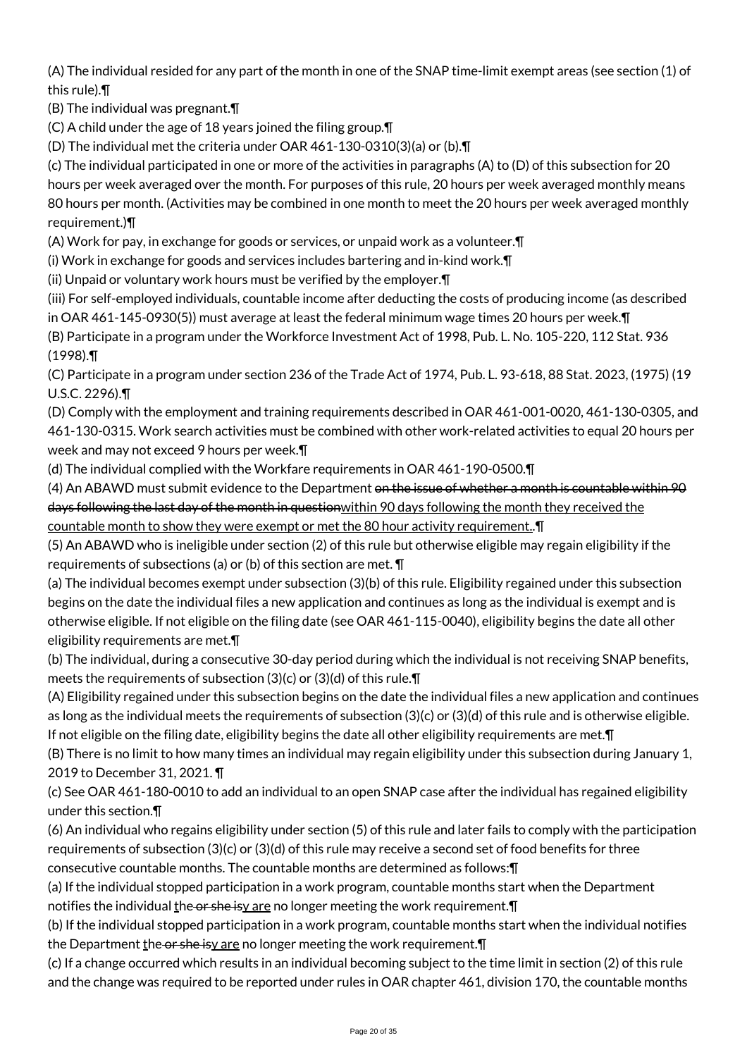(A) The individual resided for any part of the month in one of the SNAP time-limit exempt areas (see section (1) of this rule).¶

(B) The individual was pregnant.¶

(C) A child under the age of 18 years joined the filing group.¶

(D) The individual met the criteria under OAR 461-130-0310(3)(a) or (b).¶

(c) The individual participated in one or more of the activities in paragraphs (A) to (D) of this subsection for 20 hours per week averaged over the month. For purposes of this rule, 20 hours per week averaged monthly means 80 hours per month. (Activities may be combined in one month to meet the 20 hours per week averaged monthly requirement.)¶

(A) Work for pay, in exchange for goods or services, or unpaid work as a volunteer.¶

(i) Work in exchange for goods and services includes bartering and in-kind work.¶

(ii) Unpaid or voluntary work hours must be verified by the employer.¶

(iii) For self-employed individuals, countable income after deducting the costs of producing income (as described in OAR 461-145-0930(5)) must average at least the federal minimum wage times 20 hours per week.¶

(B) Participate in a program under the Workforce Investment Act of 1998, Pub. L. No. 105-220, 112 Stat. 936 (1998).¶

(C) Participate in a program under section 236 of the Trade Act of 1974, Pub. L. 93-618, 88 Stat. 2023, (1975) (19 U.S.C. 2296).¶

(D) Comply with the employment and training requirements described in OAR 461-001-0020, 461-130-0305, and 461-130-0315. Work search activities must be combined with other work-related activities to equal 20 hours per week and may not exceed 9 hours per week.¶

(d) The individual complied with the Workfare requirements in OAR 461-190-0500.¶

(4) An ABAWD must submit evidence to the Department on the issue of whether a month is countable within 90 days following the last day of the month in questionwithin 90 days following the month they received the countable month to show they were exempt or met the 80 hour activity requirement..¶

(5) An ABAWD who is ineligible under section (2) of this rule but otherwise eligible may regain eligibility if the requirements of subsections (a) or (b) of this section are met. ¶

(a) The individual becomes exempt under subsection (3)(b) of this rule. Eligibility regained under this subsection begins on the date the individual files a new application and continues as long as the individual is exempt and is otherwise eligible. If not eligible on the filing date (see OAR 461-115-0040), eligibility begins the date all other eligibility requirements are met.¶

(b) The individual, during a consecutive 30-day period during which the individual is not receiving SNAP benefits, meets the requirements of subsection (3)(c) or (3)(d) of this rule.¶

(A) Eligibility regained under this subsection begins on the date the individual files a new application and continues as long as the individual meets the requirements of subsection (3)(c) or (3)(d) of this rule and is otherwise eligible. If not eligible on the filing date, eligibility begins the date all other eligibility requirements are met.¶

(B) There is no limit to how many times an individual may regain eligibility under this subsection during January 1, 2019 to December 31, 2021. ¶

(c) See OAR 461-180-0010 to add an individual to an open SNAP case after the individual has regained eligibility under this section.¶

(6) An individual who regains eligibility under section (5) of this rule and later fails to comply with the participation requirements of subsection (3)(c) or (3)(d) of this rule may receive a second set of food benefits for three consecutive countable months. The countable months are determined as follows:¶

(a) If the individual stopped participation in a work program, countable months start when the Department notifies the individual the or she isy are no longer meeting the work requirement. $\P$ 

(b) If the individual stopped participation in a work program, countable months start when the individual notifies the Department the or she isy are no longer meeting the work requirement. [1]

(c) If a change occurred which results in an individual becoming subject to the time limit in section (2) of this rule and the change was required to be reported under rules in OAR chapter 461, division 170, the countable months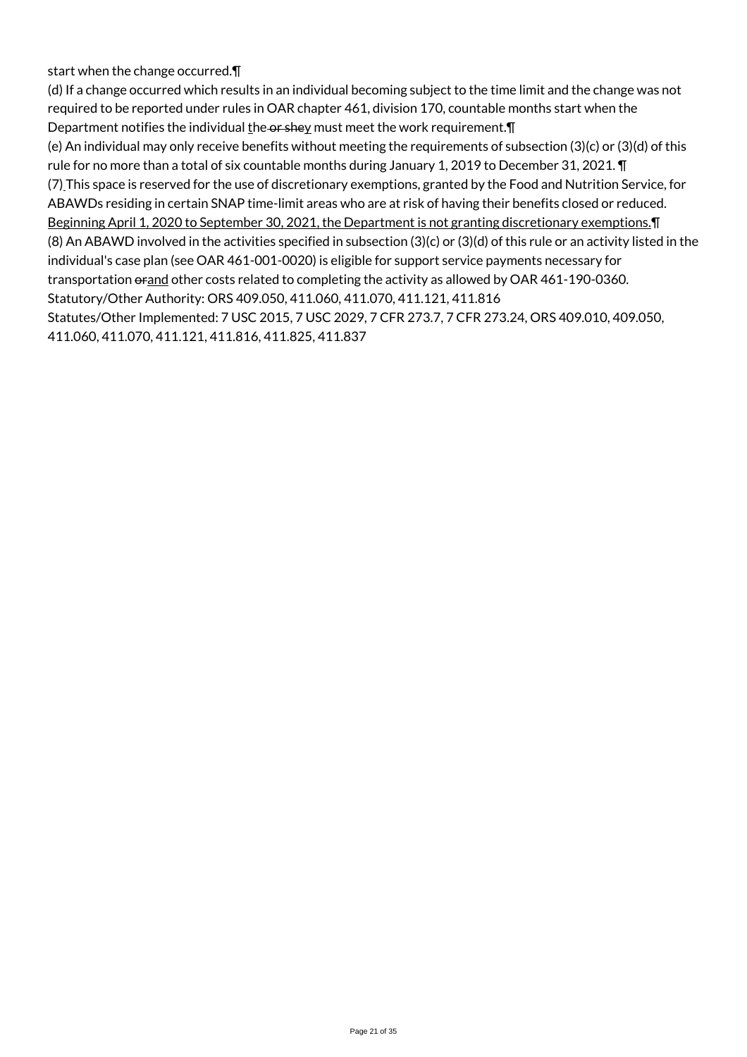start when the change occurred.¶

(d) If a change occurred which results in an individual becoming subject to the time limit and the change was not required to be reported under rules in OAR chapter 461, division 170, countable months start when the Department notifies the individual  $\underline{t}$ he or shey must meet the work requirement. $\P$ (e) An individual may only receive benefits without meeting the requirements of subsection (3)(c) or (3)(d) of this

rule for no more than a total of six countable months during January 1, 2019 to December 31, 2021. ¶ (7) This space is reserved for the use of discretionary exemptions, granted by the Food and Nutrition Service, for ABAWDs residing in certain SNAP time-limit areas who are at risk of having their benefits closed or reduced. Beginning April 1, 2020 to September 30, 2021, the Department is not granting discretionary exemptions. T (8) An ABAWD involved in the activities specified in subsection (3)(c) or (3)(d) of this rule or an activity listed in the individual's case plan (see OAR 461-001-0020) is eligible for support service payments necessary for transportation orand other costs related to completing the activity as allowed by OAR 461-190-0360. Statutory/Other Authority: ORS 409.050, 411.060, 411.070, 411.121, 411.816 Statutes/Other Implemented: 7 USC 2015, 7 USC 2029, 7 CFR 273.7, 7 CFR 273.24, ORS 409.010, 409.050,

411.060, 411.070, 411.121, 411.816, 411.825, 411.837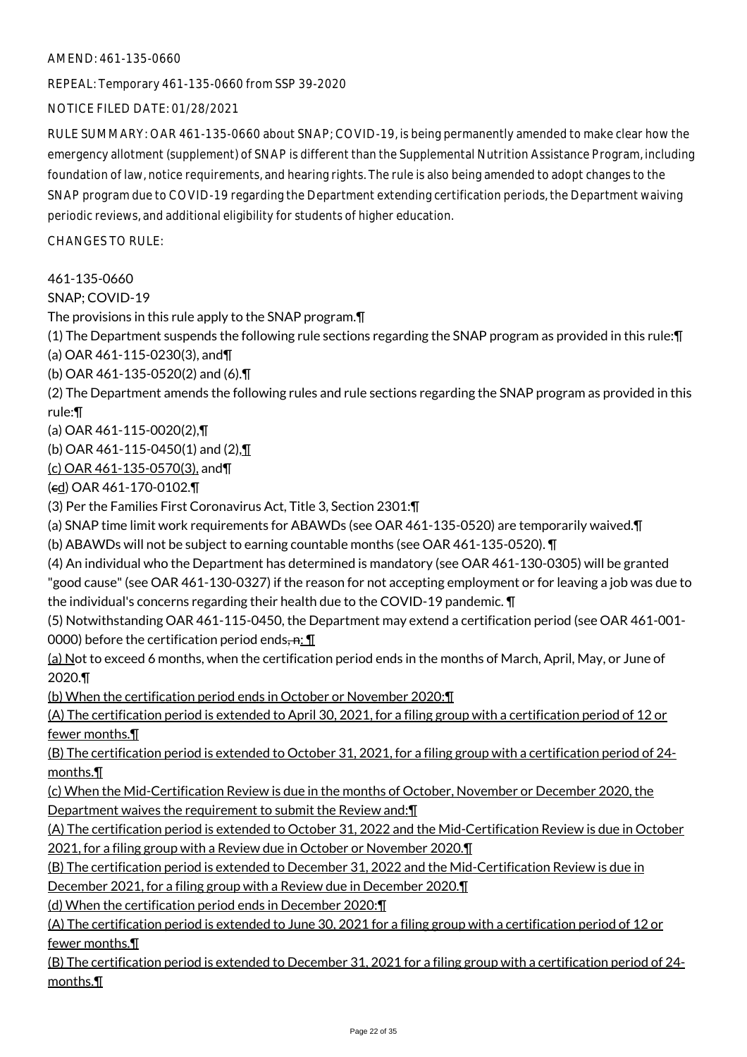REPEAL: Temporary 461-135-0660 from SSP 39-2020

NOTICE FILED DATE: 01/28/2021

RULE SUMMARY: OAR 461-135-0660 about SNAP; COVID-19, is being permanently amended to make clear how the emergency allotment (supplement) of SNAP is different than the Supplemental Nutrition Assistance Program, including foundation of law, notice requirements, and hearing rights. The rule is also being amended to adopt changes to the SNAP program due to COVID-19 regarding the Department extending certification periods, the Department waiving periodic reviews, and additional eligibility for students of higher education.

CHANGES TO RULE:

461-135-0660

SNAP; COVID-19

The provisions in this rule apply to the SNAP program.¶

(1) The Department suspends the following rule sections regarding the SNAP program as provided in this rule:¶ (a) OAR 461-115-0230(3), and¶

(b) OAR 461-135-0520(2) and (6).¶

(2) The Department amends the following rules and rule sections regarding the SNAP program as provided in this rule:¶

(a) OAR 461-115-0020(2),¶

(b) OAR 461-115-0450(1) and (2),¶

(c) OAR 461-135-0570(3), and¶

(cd) OAR 461-170-0102.¶

(3) Per the Families First Coronavirus Act, Title 3, Section 2301:¶

(a) SNAP time limit work requirements for ABAWDs (see OAR 461-135-0520) are temporarily waived.¶

(b) ABAWDs will not be subject to earning countable months (see OAR 461-135-0520). ¶

(4) An individual who the Department has determined is mandatory (see OAR 461-130-0305) will be granted "good cause" (see OAR 461-130-0327) if the reason for not accepting employment or for leaving a job was due to the individual's concerns regarding their health due to the COVID-19 pandemic. ¶

(5) Notwithstanding OAR 461-115-0450, the Department may extend a certification period (see OAR 461-001- 0000) before the certification period ends $\cdot$ n:  $\P$ 

(a) Not to exceed 6 months, when the certification period ends in the months of March, April, May, or June of 2020.¶

(b) When the certification period ends in October or November 2020:¶

(A) The certification period is extended to April 30, 2021, for a filing group with a certification period of 12 or fewer months.¶

(B) The certification period is extended to October 31, 2021, for a filing group with a certification period of 24 months.¶

(c) When the Mid-Certification Review is due in the months of October, November or December 2020, the Department waives the requirement to submit the Review and:¶

(A) The certification period is extended to October 31, 2022 and the Mid-Certification Review is due in October 2021, for a filing group with a Review due in October or November 2020.¶

(B) The certification period is extended to December 31, 2022 and the Mid-Certification Review is due in

December 2021, for a filing group with a Review due in December 2020.¶

(d) When the certification period ends in December 2020:¶

(A) The certification period is extended to June 30, 2021 for a filing group with a certification period of 12 or fewer months.¶

(B) The certification period is extended to December 31, 2021 for a filing group with a certification period of 24 months.¶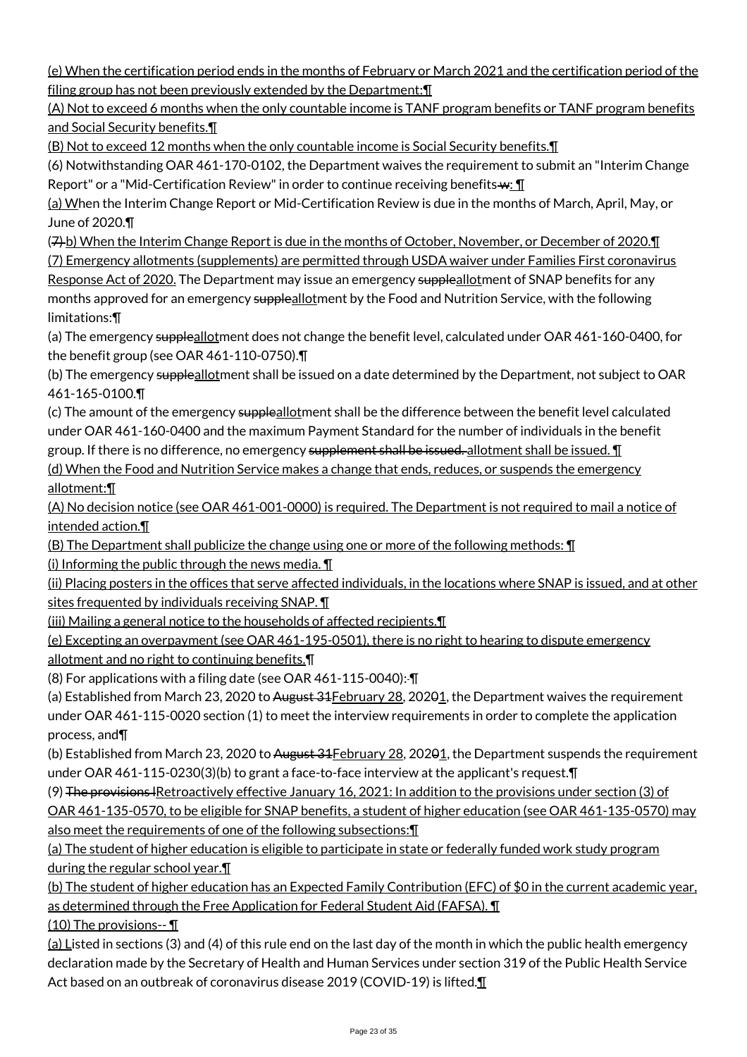(e) When the certification period ends in the months of February or March 2021 and the certification period of the filing group has not been previously extended by the Department:¶

(A) Not to exceed 6 months when the only countable income is TANF program benefits or TANF program benefits and Social Security benefits.¶

(B) Not to exceed 12 months when the only countable income is Social Security benefits.¶

(6) Notwithstanding OAR 461-170-0102, the Department waives the requirement to submit an "Interim Change Report" or a "Mid-Certification Review" in order to continue receiving benefits-w: \[

(a) When the Interim Change Report or Mid-Certification Review is due in the months of March, April, May, or June of 2020.¶

(7) b) When the Interim Change Report is due in the months of October, November, or December of 2020.¶ (7) Emergency allotments (supplements) are permitted through USDA waiver under Families First coronavirus Response Act of 2020. The Department may issue an emergency suppleallotment of SNAP benefits for any months approved for an emergency suppleallotment by the Food and Nutrition Service, with the following

limitations:¶

(a) The emergency suppleallotment does not change the benefit level, calculated under OAR 461-160-0400, for the benefit group (see OAR 461-110-0750).¶

(b) The emergency suppleallot ment shall be issued on a date determined by the Department, not subject to OAR 461-165-0100.¶

(c) The amount of the emergency suppleallotment shall be the difference between the benefit level calculated under OAR 461-160-0400 and the maximum Payment Standard for the number of individuals in the benefit group. If there is no difference, no emergency supplement shall be issued. allotment shall be issued. I

(d) When the Food and Nutrition Service makes a change that ends, reduces, or suspends the emergency allotment:¶

(A) No decision notice (see OAR 461-001-0000) is required. The Department is not required to mail a notice of intended action.¶

(B) The Department shall publicize the change using one or more of the following methods: ¶

(i) Informing the public through the news media.  $\P$ 

(ii) Placing posters in the offices that serve affected individuals, in the locations where SNAP is issued, and at other sites frequented by individuals receiving SNAP. ¶

(iii) Mailing a general notice to the households of affected recipients.¶

(e) Excepting an overpayment (see OAR 461-195-0501), there is no right to hearing to dispute emergency

allotment and no right to continuing benefits.¶

(8) For applications with a filing date (see OAR 461-115-0040): ¶

(a) Established from March 23, 2020 to August  $31$  February 28, 20201, the Department waives the requirement under OAR 461-115-0020 section (1) to meet the interview requirements in order to complete the application process, and¶

(b) Established from March 23, 2020 to August 31 February 28, 20201, the Department suspends the requirement under OAR 461-115-0230(3)(b) to grant a face-to-face interview at the applicant's request.¶

(9) The provisions lRetroactively effective January 16, 2021: In addition to the provisions under section (3) of

OAR 461-135-0570, to be eligible for SNAP benefits, a student of higher education (see OAR 461-135-0570) may also meet the requirements of one of the following subsections:¶

(a) The student of higher education is eligible to participate in state or federally funded work study program during the regular school year.¶

(b) The student of higher education has an Expected Family Contribution (EFC) of \$0 in the current academic year, as determined through the Free Application for Federal Student Aid (FAFSA). ¶

(10) The provisions-- $\P$ 

(a) Listed in sections (3) and (4) of this rule end on the last day of the month in which the public health emergency declaration made by the Secretary of Health and Human Services under section 319 of the Public Health Service Act based on an outbreak of coronavirus disease 2019 (COVID-19) is lifted.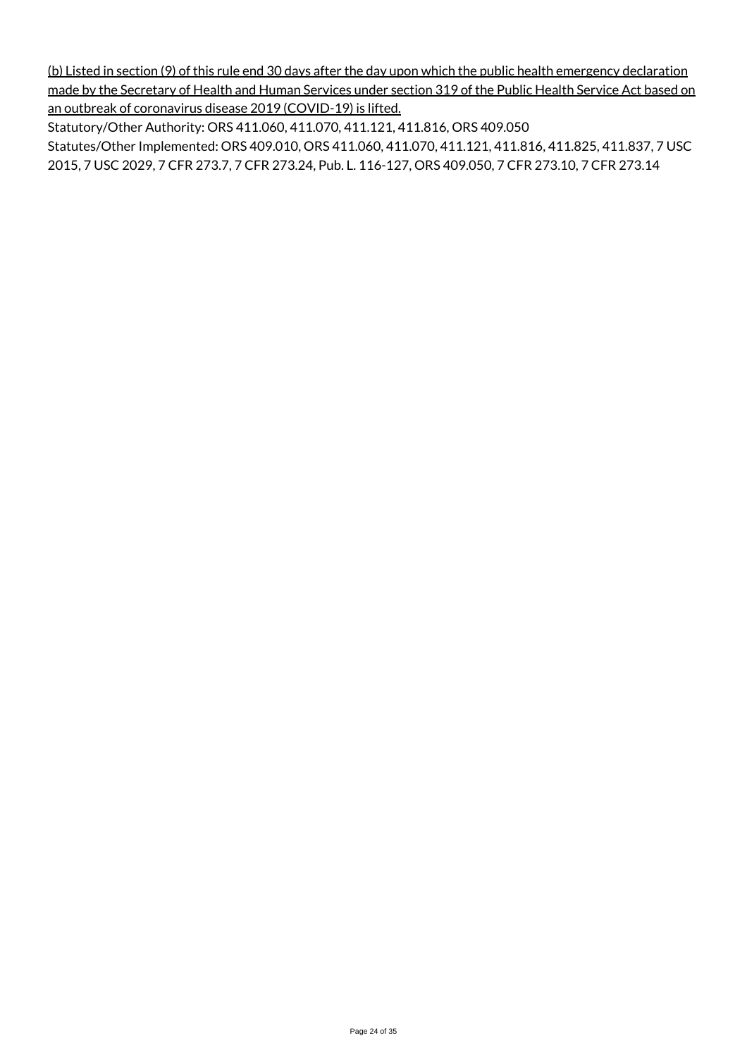(b) Listed in section (9) of this rule end 30 days after the day upon which the public health emergency declaration made by the Secretary of Health and Human Services under section 319 of the Public Health Service Act based on an outbreak of coronavirus disease 2019 (COVID-19) is lifted.

Statutory/Other Authority: ORS 411.060, 411.070, 411.121, 411.816, ORS 409.050 Statutes/Other Implemented: ORS 409.010, ORS 411.060, 411.070, 411.121, 411.816, 411.825, 411.837, 7 USC 2015, 7 USC 2029, 7 CFR 273.7, 7 CFR 273.24, Pub. L. 116-127, ORS 409.050, 7 CFR 273.10, 7 CFR 273.14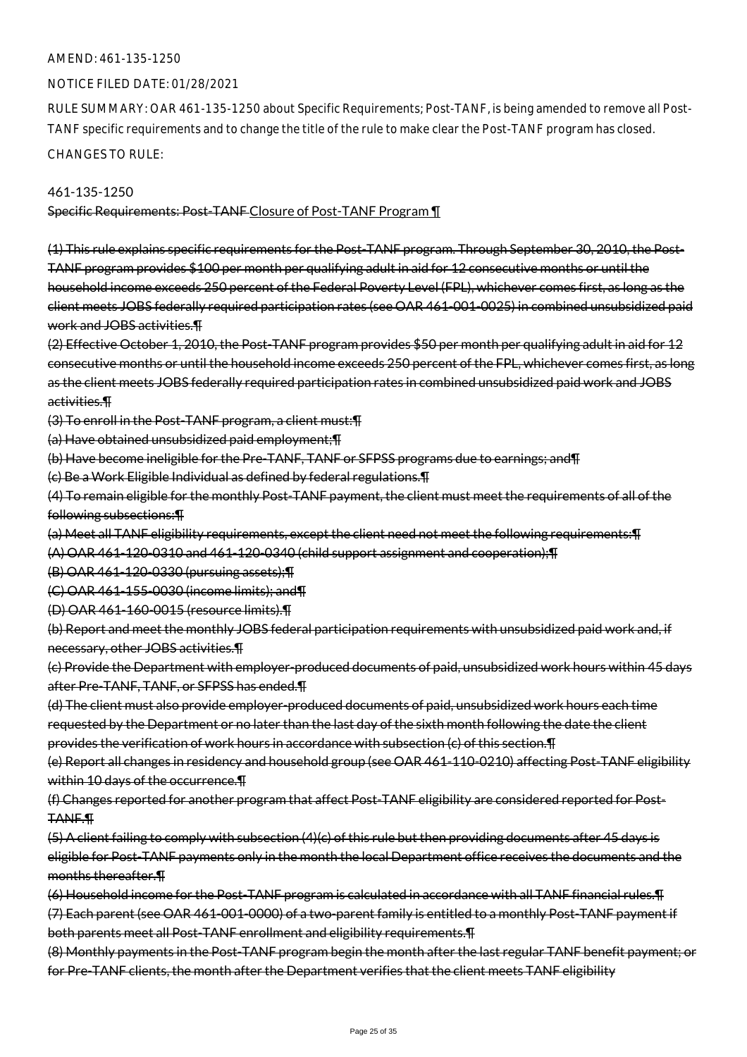#### NOTICE FILED DATE: 01/28/2021

RULE SUMMARY: OAR 461-135-1250 about Specific Requirements; Post-TANF, is being amended to remove all Post-TANF specific requirements and to change the title of the rule to make clear the Post-TANF program has closed.

CHANGES TO RULE:

461-135-1250

Specific Requirements: Post-TANF Closure of Post-TANF Program ¶

(1) This rule explains specific requirements for the Post-TANF program. Through September 30, 2010, the Post-TANF program provides \$100 per month per qualifying adult in aid for 12 consecutive months or until the household income exceeds 250 percent of the Federal Poverty Level (FPL), whichever comes first, as long as the client meets JOBS federally required participation rates (see OAR 461-001-0025) in combined unsubsidized paid work and JOBS activities.¶

(2) Effective October 1, 2010, the Post-TANF program provides \$50 per month per qualifying adult in aid for 12 consecutive months or until the household income exceeds 250 percent of the FPL, whichever comes first, as long as the client meets JOBS federally required participation rates in combined unsubsidized paid work and JOBS activities.¶

(3) To enroll in the Post-TANF program, a client must:¶

(a) Have obtained unsubsidized paid employment;¶

(b) Have become ineligible for the Pre-TANF, TANF or SFPSS programs due to earnings; and¶

(c) Be a Work Eligible Individual as defined by federal regulations.¶

(4) To remain eligible for the monthly Post-TANF payment, the client must meet the requirements of all of the following subsections:¶

(a) Meet all TANF eligibility requirements, except the client need not meet the following requirements:¶

(A) OAR 461-120-0310 and 461-120-0340 (child support assignment and cooperation);¶

(B) OAR 461-120-0330 (pursuing assets);¶

(C) OAR 461-155-0030 (income limits); and¶

(D) OAR 461-160-0015 (resource limits).¶

(b) Report and meet the monthly JOBS federal participation requirements with unsubsidized paid work and, if necessary, other JOBS activities.¶

(c) Provide the Department with employer-produced documents of paid, unsubsidized work hours within 45 days after Pre-TANF, TANF, or SFPSS has ended.¶

(d) The client must also provide employer-produced documents of paid, unsubsidized work hours each time requested by the Department or no later than the last day of the sixth month following the date the client provides the verification of work hours in accordance with subsection (c) of this section.¶

(e) Report all changes in residency and household group (see OAR 461-110-0210) affecting Post-TANF eligibility within 10 days of the occurrence.¶

(f) Changes reported for another program that affect Post-TANF eligibility are considered reported for Post-TANF.¶

(5) A client failing to comply with subsection (4)(c) of this rule but then providing documents after 45 days is eligible for Post-TANF payments only in the month the local Department office receives the documents and the months thereafter.¶

(6) Household income for the Post-TANF program is calculated in accordance with all TANF financial rules.¶

(7) Each parent (see OAR 461-001-0000) of a two-parent family is entitled to a monthly Post-TANF payment if both parents meet all Post-TANF enrollment and eligibility requirements.¶

(8) Monthly payments in the Post-TANF program begin the month after the last regular TANF benefit payment; or for Pre-TANF clients, the month after the Department verifies that the client meets TANF eligibility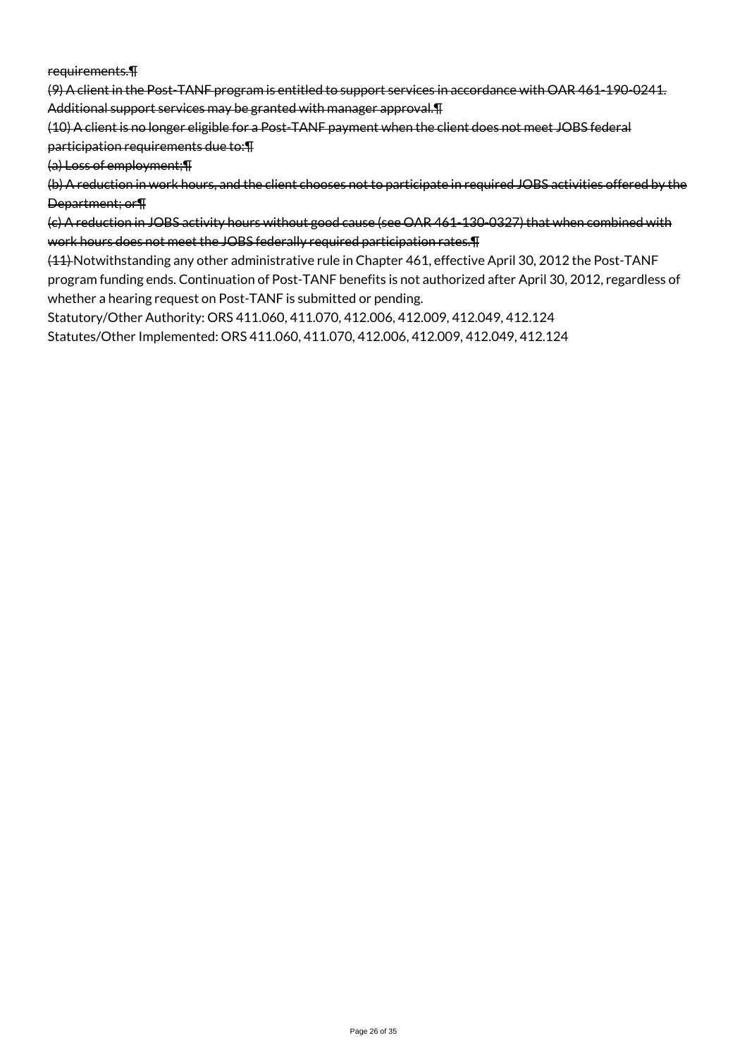requirements.¶

(9) A client in the Post-TANF program is entitled to support services in accordance with OAR 461-190-0241. Additional support services may be granted with manager approval.¶

(10) A client is no longer eligible for a Post-TANF payment when the client does not meet JOBS federal participation requirements due to:¶

(a) Loss of employment;¶

(b) A reduction in work hours, and the client chooses not to participate in required JOBS activities offered by the Department; or¶

(c) A reduction in JOBS activity hours without good cause (see OAR 461-130-0327) that when combined with work hours does not meet the JOBS federally required participation rates.¶

(11) Notwithstanding any other administrative rule in Chapter 461, effective April 30, 2012 the Post-TANF program funding ends. Continuation of Post-TANF benefits is not authorized after April 30, 2012, regardless of whether a hearing request on Post-TANF is submitted or pending.

Statutory/Other Authority: ORS 411.060, 411.070, 412.006, 412.009, 412.049, 412.124 Statutes/Other Implemented: ORS 411.060, 411.070, 412.006, 412.009, 412.049, 412.124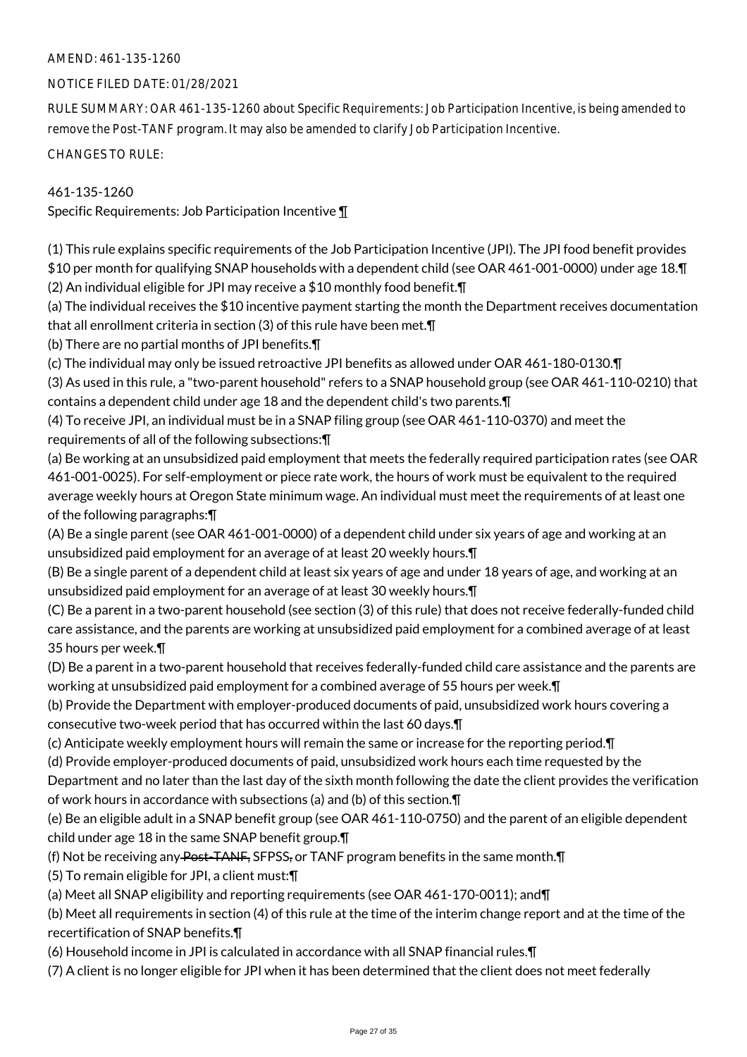## NOTICE FILED DATE: 01/28/2021

RULE SUMMARY: OAR 461-135-1260 about Specific Requirements: Job Participation Incentive, is being amended to remove the Post-TANF program. It may also be amended to clarify Job Participation Incentive.

CHANGES TO RULE:

## 461-135-1260

Specific Requirements: Job Participation Incentive ¶

(1) This rule explains specific requirements of the Job Participation Incentive (JPI). The JPI food benefit provides \$10 per month for qualifying SNAP households with a dependent child (see OAR 461-001-0000) under age 18.¶ (2) An individual eligible for JPI may receive a \$10 monthly food benefit.¶

(a) The individual receives the \$10 incentive payment starting the month the Department receives documentation that all enrollment criteria in section (3) of this rule have been met.¶

(b) There are no partial months of JPI benefits.¶

(c) The individual may only be issued retroactive JPI benefits as allowed under OAR 461-180-0130.¶

(3) As used in this rule, a "two-parent household" refers to a SNAP household group (see OAR 461-110-0210) that contains a dependent child under age 18 and the dependent child's two parents.¶

(4) To receive JPI, an individual must be in a SNAP filing group (see OAR 461-110-0370) and meet the requirements of all of the following subsections:¶

(a) Be working at an unsubsidized paid employment that meets the federally required participation rates (see OAR 461-001-0025). For self-employment or piece rate work, the hours of work must be equivalent to the required average weekly hours at Oregon State minimum wage. An individual must meet the requirements of at least one of the following paragraphs:¶

(A) Be a single parent (see OAR 461-001-0000) of a dependent child under six years of age and working at an unsubsidized paid employment for an average of at least 20 weekly hours.¶

(B) Be a single parent of a dependent child at least six years of age and under 18 years of age, and working at an unsubsidized paid employment for an average of at least 30 weekly hours.¶

(C) Be a parent in a two-parent household (see section (3) of this rule) that does not receive federally-funded child care assistance, and the parents are working at unsubsidized paid employment for a combined average of at least 35 hours per week.¶

(D) Be a parent in a two-parent household that receives federally-funded child care assistance and the parents are working at unsubsidized paid employment for a combined average of 55 hours per week.¶

(b) Provide the Department with employer-produced documents of paid, unsubsidized work hours covering a consecutive two-week period that has occurred within the last 60 days.¶

(c) Anticipate weekly employment hours will remain the same or increase for the reporting period.¶

(d) Provide employer-produced documents of paid, unsubsidized work hours each time requested by the

Department and no later than the last day of the sixth month following the date the client provides the verification of work hours in accordance with subsections (a) and (b) of this section.¶

(e) Be an eligible adult in a SNAP benefit group (see OAR 461-110-0750) and the parent of an eligible dependent child under age 18 in the same SNAP benefit group.¶

(f) Not be receiving any Post-TANF, SFPSS, or TANF program benefits in the same month.¶

(5) To remain eligible for JPI, a client must:¶

(a) Meet all SNAP eligibility and reporting requirements (see OAR 461-170-0011); and¶

(b) Meet all requirements in section (4) of this rule at the time of the interim change report and at the time of the recertification of SNAP benefits.¶

(6) Household income in JPI is calculated in accordance with all SNAP financial rules.¶

(7) A client is no longer eligible for JPI when it has been determined that the client does not meet federally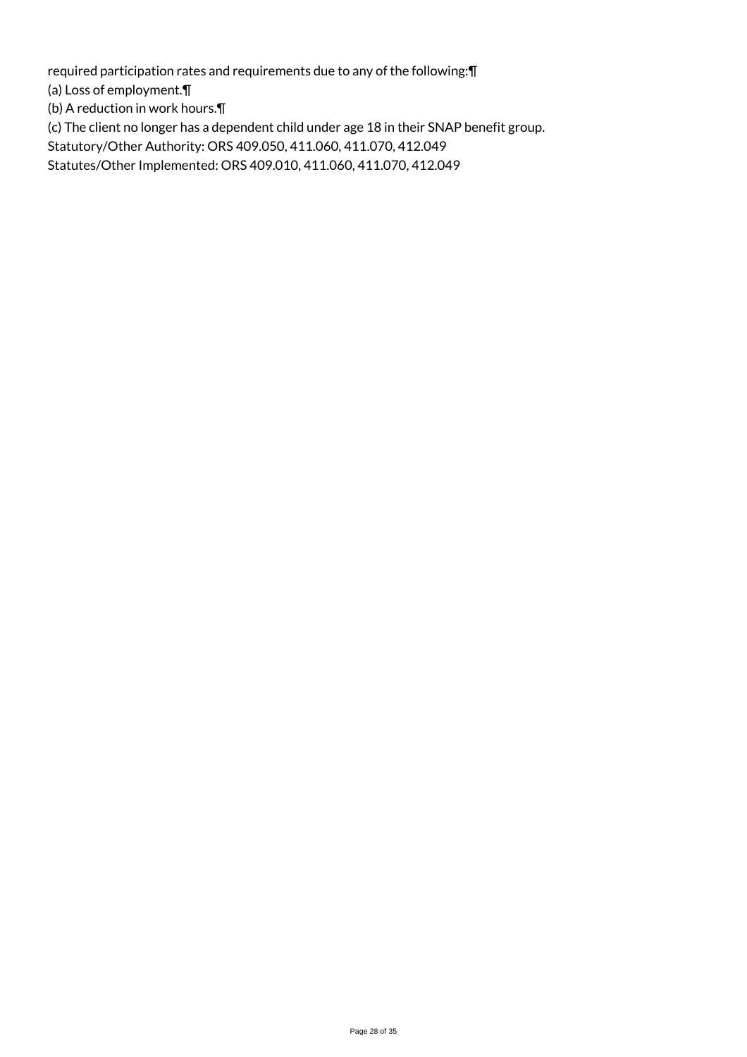required participation rates and requirements due to any of the following:¶

(a) Loss of employment.¶

(b) A reduction in work hours.¶

(c) The client no longer has a dependent child under age 18 in their SNAP benefit group.

Statutory/Other Authority: ORS 409.050, 411.060, 411.070, 412.049

Statutes/Other Implemented: ORS 409.010, 411.060, 411.070, 412.049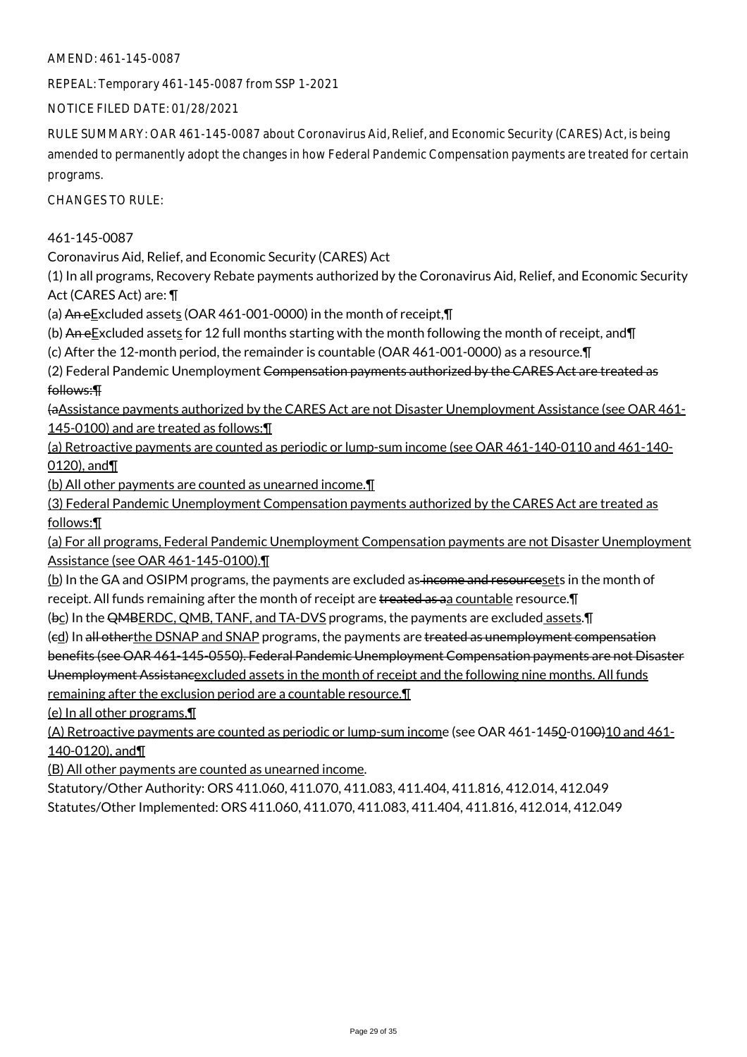REPEAL: Temporary 461-145-0087 from SSP 1-2021

NOTICE FILED DATE: 01/28/2021

RULE SUMMARY: OAR 461-145-0087 about Coronavirus Aid, Relief, and Economic Security (CARES) Act, is being amended to permanently adopt the changes in how Federal Pandemic Compensation payments are treated for certain programs.

CHANGES TO RULE:

461-145-0087

Coronavirus Aid, Relief, and Economic Security (CARES) Act

(1) In all programs, Recovery Rebate payments authorized by the Coronavirus Aid, Relief, and Economic Security Act (CARES Act) are: ¶

(a) An eExcluded assets (OAR 461-001-0000) in the month of receipt, $\P$ 

(b) An e $E$ xcluded assets for 12 full months starting with the month following the month of receipt, and  $\P$ 

(c) After the 12-month period, the remainder is countable (OAR 461-001-0000) as a resource.¶

(2) Federal Pandemic Unemployment Compensation payments authorized by the CARES Act are treated as follows:¶

(aAssistance payments authorized by the CARES Act are not Disaster Unemployment Assistance (see OAR 461- 145-0100) and are treated as follows: \[

(a) Retroactive payments are counted as periodic or lump-sum income (see OAR 461-140-0110 and 461-140- 0120), and¶

(b) All other payments are counted as unearned income.¶

(3) Federal Pandemic Unemployment Compensation payments authorized by the CARES Act are treated as follows:¶

(a) For all programs, Federal Pandemic Unemployment Compensation payments are not Disaster Unemployment Assistance (see OAR 461-145-0100).¶

(b) In the GA and OSIPM programs, the payments are excluded as income and resourcesets in the month of receipt. All funds remaining after the month of receipt are treated as aa countable resource. [1]

(bc) In the QMBERDC, QMB, TANF, and TA-DVS programs, the payments are excluded assets.¶

(ed) In all otherthe DSNAP and SNAP programs, the payments are treated as unemployment compensation benefits (see OAR 461-145-0550). Federal Pandemic Unemployment Compensation payments are not Disaster

Unemployment Assistancexcluded assets in the month of receipt and the following nine months. All funds remaining after the exclusion period are a countable resource.¶

(e) In all other programs,¶

(A) Retroactive payments are counted as periodic or lump-sum income (see OAR 461-1450-0100)10 and 461-140-0120), and¶

(B) All other payments are counted as unearned income.

Statutory/Other Authority: ORS 411.060, 411.070, 411.083, 411.404, 411.816, 412.014, 412.049 Statutes/Other Implemented: ORS 411.060, 411.070, 411.083, 411.404, 411.816, 412.014, 412.049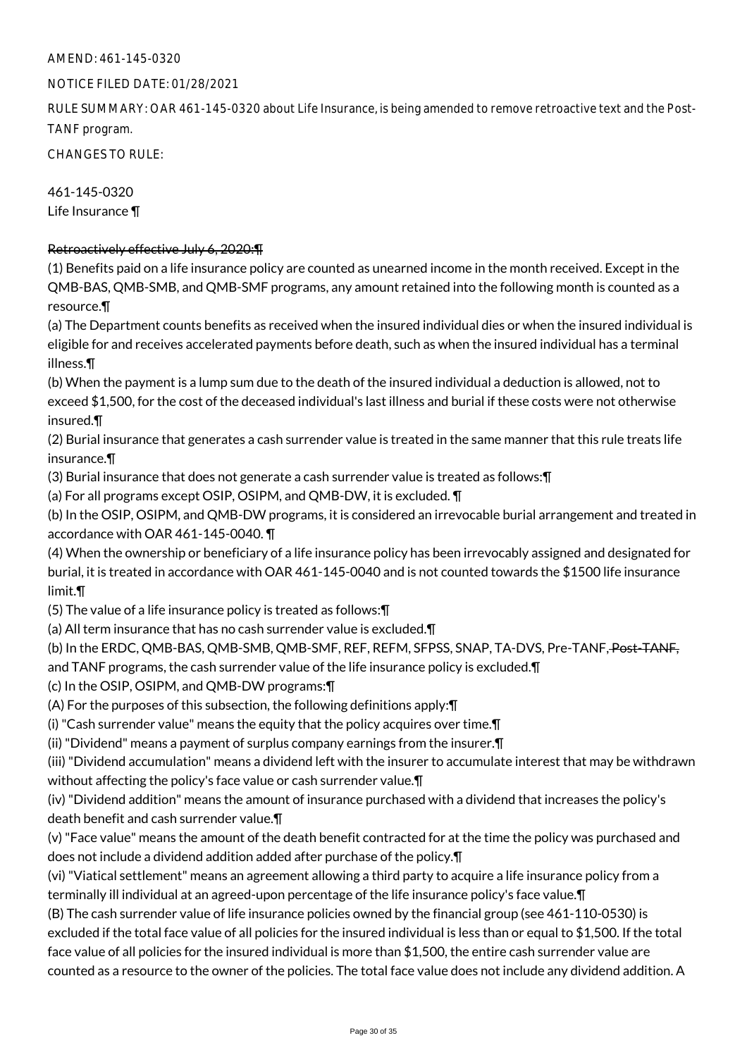#### NOTICE FILED DATE: 01/28/2021

RULE SUMMARY: OAR 461-145-0320 about Life Insurance, is being amended to remove retroactive text and the Post-TANF program.

CHANGES TO RULE:

461-145-0320 Life Insurance ¶

### Retroactively effective July 6, 2020:¶

(1) Benefits paid on a life insurance policy are counted as unearned income in the month received. Except in the QMB-BAS, QMB-SMB, and QMB-SMF programs, any amount retained into the following month is counted as a resource.¶

(a) The Department counts benefits as received when the insured individual dies or when the insured individual is eligible for and receives accelerated payments before death, such as when the insured individual has a terminal illness.¶

(b) When the payment is a lump sum due to the death of the insured individual a deduction is allowed, not to exceed \$1,500, for the cost of the deceased individual's last illness and burial if these costs were not otherwise insured.¶

(2) Burial insurance that generates a cash surrender value is treated in the same manner that this rule treats life insurance.¶

(3) Burial insurance that does not generate a cash surrender value is treated as follows:¶

(a) For all programs except OSIP, OSIPM, and QMB-DW, it is excluded. ¶

(b) In the OSIP, OSIPM, and QMB-DW programs, it is considered an irrevocable burial arrangement and treated in accordance with OAR 461-145-0040. ¶

(4) When the ownership or beneficiary of a life insurance policy has been irrevocably assigned and designated for burial, it is treated in accordance with OAR 461-145-0040 and is not counted towards the \$1500 life insurance limit.¶

(5) The value of a life insurance policy is treated as follows:¶

(a) All term insurance that has no cash surrender value is excluded.¶

(b) In the ERDC, QMB-BAS, QMB-SMB, QMB-SMF, REF, REFM, SFPSS, SNAP, TA-DVS, Pre-TANF, Post-TANF,

and TANF programs, the cash surrender value of the life insurance policy is excluded.¶

(c) In the OSIP, OSIPM, and QMB-DW programs:¶

(A) For the purposes of this subsection, the following definitions apply:¶

(i) "Cash surrender value" means the equity that the policy acquires over time.¶

(ii) "Dividend" means a payment of surplus company earnings from the insurer.¶

(iii) "Dividend accumulation" means a dividend left with the insurer to accumulate interest that may be withdrawn without affecting the policy's face value or cash surrender value.¶

(iv) "Dividend addition" means the amount of insurance purchased with a dividend that increases the policy's death benefit and cash surrender value.¶

(v) "Face value" means the amount of the death benefit contracted for at the time the policy was purchased and does not include a dividend addition added after purchase of the policy.¶

(vi) "Viatical settlement" means an agreement allowing a third party to acquire a life insurance policy from a terminally ill individual at an agreed-upon percentage of the life insurance policy's face value.¶

(B) The cash surrender value of life insurance policies owned by the financial group (see 461-110-0530) is excluded if the total face value of all policies for the insured individual is less than or equal to \$1,500. If the total face value of all policies for the insured individual is more than \$1,500, the entire cash surrender value are counted as a resource to the owner of the policies. The total face value does not include any dividend addition. A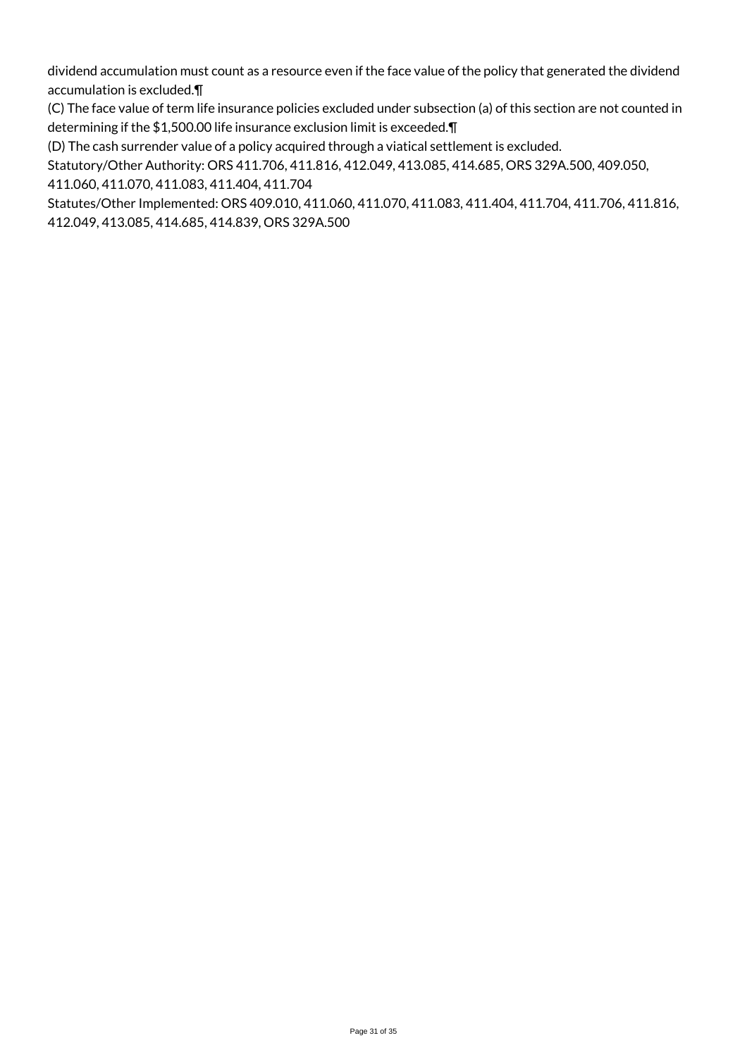dividend accumulation must count as a resource even if the face value of the policy that generated the dividend accumulation is excluded.¶

(C) The face value of term life insurance policies excluded under subsection (a) of this section are not counted in determining if the \$1,500.00 life insurance exclusion limit is exceeded.¶

(D) The cash surrender value of a policy acquired through a viatical settlement is excluded.

Statutory/Other Authority: ORS 411.706, 411.816, 412.049, 413.085, 414.685, ORS 329A.500, 409.050, 411.060, 411.070, 411.083, 411.404, 411.704

Statutes/Other Implemented: ORS 409.010, 411.060, 411.070, 411.083, 411.404, 411.704, 411.706, 411.816, 412.049, 413.085, 414.685, 414.839, ORS 329A.500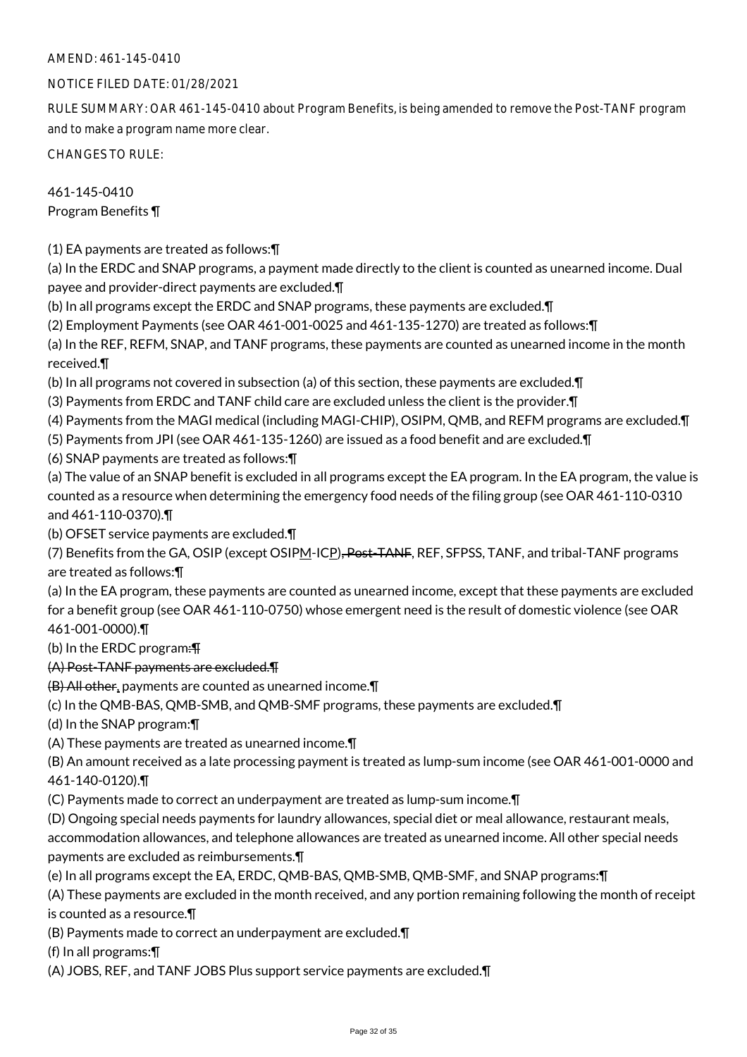## NOTICE FILED DATE: 01/28/2021

RULE SUMMARY: OAR 461-145-0410 about Program Benefits, is being amended to remove the Post-TANF program and to make a program name more clear.

CHANGES TO RULE:

## 461-145-0410 Program Benefits ¶

(1) EA payments are treated as follows:¶

(a) In the ERDC and SNAP programs, a payment made directly to the client is counted as unearned income. Dual payee and provider-direct payments are excluded.¶

- (b) In all programs except the ERDC and SNAP programs, these payments are excluded.¶
- (2) Employment Payments (see OAR 461-001-0025 and 461-135-1270) are treated as follows:¶

(a) In the REF, REFM, SNAP, and TANF programs, these payments are counted as unearned income in the month received.¶

(b) In all programs not covered in subsection (a) of this section, these payments are excluded.¶

(3) Payments from ERDC and TANF child care are excluded unless the client is the provider.¶

- (4) Payments from the MAGI medical (including MAGI-CHIP), OSIPM, QMB, and REFM programs are excluded.¶
- (5) Payments from JPI (see OAR 461-135-1260) are issued as a food benefit and are excluded.¶
- (6) SNAP payments are treated as follows:¶

(a) The value of an SNAP benefit is excluded in all programs except the EA program. In the EA program, the value is counted as a resource when determining the emergency food needs of the filing group (see OAR 461-110-0310 and 461-110-0370).¶

(b) OFSET service payments are excluded.¶

(7) Benefits from the GA, OSIP (except OSIPM-ICP), Post-TANF, REF, SFPSS, TANF, and tribal-TANF programs are treated as follows:¶

(a) In the EA program, these payments are counted as unearned income, except that these payments are excluded for a benefit group (see OAR 461-110-0750) whose emergent need is the result of domestic violence (see OAR 461-001-0000).¶

(b) In the ERDC program:¶

(A) Post-TANF payments are excluded.¶

(B) All other, payments are counted as unearned income.¶

(c) In the QMB-BAS, QMB-SMB, and QMB-SMF programs, these payments are excluded.¶

(d) In the SNAP program:¶

(A) These payments are treated as unearned income.¶

(B) An amount received as a late processing payment is treated as lump-sum income (see OAR 461-001-0000 and 461-140-0120).¶

(C) Payments made to correct an underpayment are treated as lump-sum income.¶

(D) Ongoing special needs payments for laundry allowances, special diet or meal allowance, restaurant meals, accommodation allowances, and telephone allowances are treated as unearned income. All other special needs payments are excluded as reimbursements.¶

(e) In all programs except the EA, ERDC, QMB-BAS, QMB-SMB, QMB-SMF, and SNAP programs:¶

(A) These payments are excluded in the month received, and any portion remaining following the month of receipt is counted as a resource.¶

(B) Payments made to correct an underpayment are excluded.¶

(f) In all programs:¶

(A) JOBS, REF, and TANF JOBS Plus support service payments are excluded.¶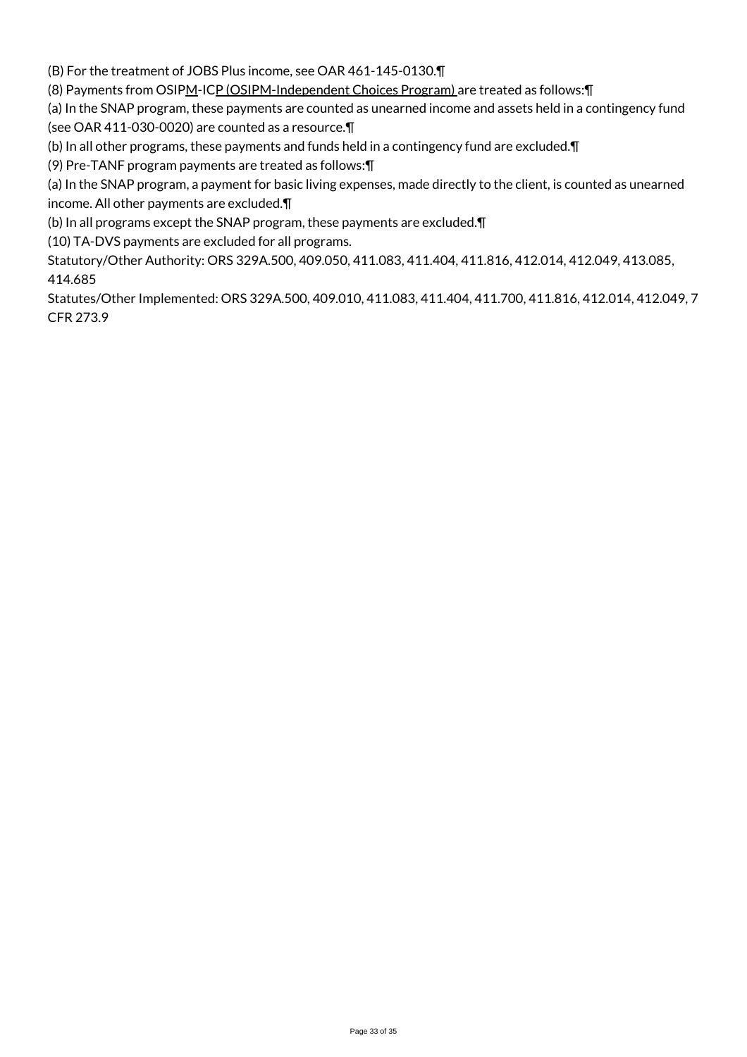(B) For the treatment of JOBS Plus income, see OAR 461-145-0130.¶

(8) Payments from OSIPM-ICP (OSIPM-Independent Choices Program) are treated as follows:¶

(a) In the SNAP program, these payments are counted as unearned income and assets held in a contingency fund (see OAR 411-030-0020) are counted as a resource.¶

(b) In all other programs, these payments and funds held in a contingency fund are excluded.¶

(9) Pre-TANF program payments are treated as follows:¶

(a) In the SNAP program, a payment for basic living expenses, made directly to the client, is counted as unearned income. All other payments are excluded.¶

(b) In all programs except the SNAP program, these payments are excluded.¶

(10) TA-DVS payments are excluded for all programs.

Statutory/Other Authority: ORS 329A.500, 409.050, 411.083, 411.404, 411.816, 412.014, 412.049, 413.085, 414.685

Statutes/Other Implemented: ORS 329A.500, 409.010, 411.083, 411.404, 411.700, 411.816, 412.014, 412.049, 7 CFR 273.9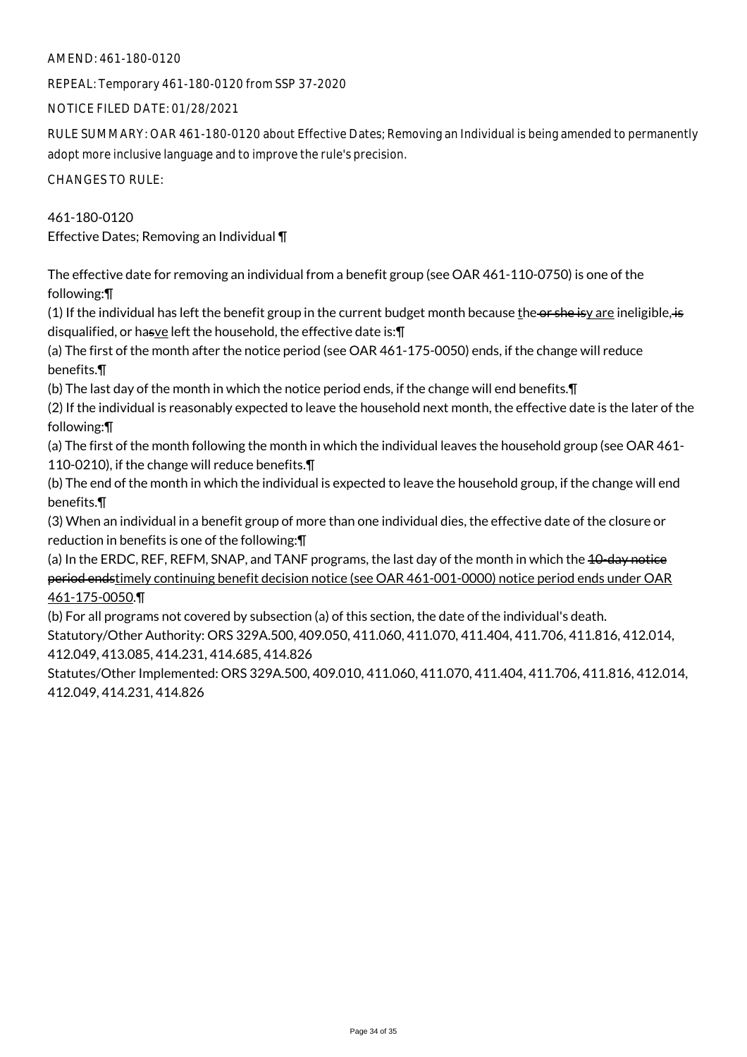### AMEND: 461-180-0120

REPEAL: Temporary 461-180-0120 from SSP 37-2020

NOTICE FILED DATE: 01/28/2021

RULE SUMMARY: OAR 461-180-0120 about Effective Dates; Removing an Individual is being amended to permanently adopt more inclusive language and to improve the rule's precision.

CHANGES TO RULE:

461-180-0120 Effective Dates; Removing an Individual ¶

The effective date for removing an individual from a benefit group (see OAR 461-110-0750) is one of the following:¶

(1) If the individual has left the benefit group in the current budget month because the or she isy are ineligible, is disqualified, or hasve left the household, the effective date is:¶

(a) The first of the month after the notice period (see OAR 461-175-0050) ends, if the change will reduce benefits.¶

(b) The last day of the month in which the notice period ends, if the change will end benefits.¶

(2) If the individual is reasonably expected to leave the household next month, the effective date is the later of the following:¶

(a) The first of the month following the month in which the individual leaves the household group (see OAR 461- 110-0210), if the change will reduce benefits.¶

(b) The end of the month in which the individual is expected to leave the household group, if the change will end benefits.¶

(3) When an individual in a benefit group of more than one individual dies, the effective date of the closure or reduction in benefits is one of the following:¶

(a) In the ERDC, REF, REFM, SNAP, and TANF programs, the last day of the month in which the 10-day notice period endstimely continuing benefit decision notice (see OAR 461-001-0000) notice period ends under OAR 461-175-0050.¶

(b) For all programs not covered by subsection (a) of this section, the date of the individual's death. Statutory/Other Authority: ORS 329A.500, 409.050, 411.060, 411.070, 411.404, 411.706, 411.816, 412.014, 412.049, 413.085, 414.231, 414.685, 414.826

Statutes/Other Implemented: ORS 329A.500, 409.010, 411.060, 411.070, 411.404, 411.706, 411.816, 412.014, 412.049, 414.231, 414.826